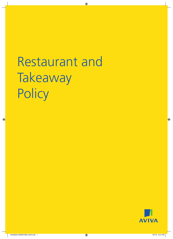# Restaurant and Takeaway **Policy**

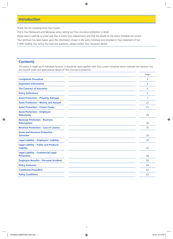### **Introduction**

Thank You for choosing Us as Your insurer.

This is Your Restaurant and Takeaway policy, setting out Your insurance protection in detail.

Please read it carefully to make sure that it meets Your requirements and that the details on the policy Schedule are correct.

Your premium has been based upon the information shown in the policy Schedule and recorded in Your statement of fact.

If after reading Your policy You have any questions, please contact Your insurance adviser.

### **Contents**

This policy is made up of individual Sections. It should be read together with Your current Schedule which indicates the Sections You are insured under and gives precise details of Your insurance protection.

|                                                                  | Page           |
|------------------------------------------------------------------|----------------|
| <b>Complaints Procedure</b>                                      | 3              |
| <b>Important Information</b>                                     | 3              |
| <b>The Contract of Insurance</b>                                 | 4              |
| <b>Policy Definitions</b>                                        | 5              |
| <b>Asset Protection - Property Damage</b>                        | $\overline{7}$ |
| <b>Asset Protection - Money and Assault</b>                      | 23             |
| <b>Asset Protection - Frozen Foods</b>                           | 27             |
| <b>Asset Protection - Employee</b><br><b>Dishonesty</b>          | 28             |
| <b>Revenue Protection - Business</b><br><b>Interruption</b>      | 30             |
| <b>Revenue Protection - Loss of Licence</b>                      | 35             |
| <b>Asset and Revenue Protection -</b><br><b>Terrorism</b>        | 36             |
| <b>Legal Liability - Employers' Liability</b>                    | 39             |
| <b>Legal Liability - Public and Products</b><br><b>Liability</b> | 42             |
| <b>Legal Liability - Commercial Legal</b><br><b>Protection</b>   | 48             |
| <b>Employee Benefits - Personal Accident</b>                     | 56             |
| <b>Policy Exclusion</b>                                          | 58             |
| <b>Conditions Precedent</b>                                      | 62             |
| <b>Policy Conditions</b>                                         | 65             |
|                                                                  |                |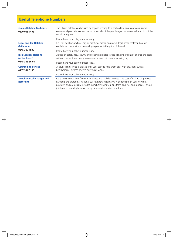# **Useful Telephone Numbers**

| <b>Claims Helpline (24 hours)</b><br>0800 015 1498                | The Claims helpline can be used by anyone wishing to report a claim on any of Aviva's new<br>commercial products. As soon as you know about the problem you face – we will start to put the<br>solutions in place.                                                                                                                                                 |  |
|-------------------------------------------------------------------|--------------------------------------------------------------------------------------------------------------------------------------------------------------------------------------------------------------------------------------------------------------------------------------------------------------------------------------------------------------------|--|
|                                                                   | Please have your policy number ready.                                                                                                                                                                                                                                                                                                                              |  |
| <b>Legal and Tax Helpline</b><br>(24 hours)                       | Call this helpline anytime, day or night, for advice on any UK legal or tax matters. Given in<br>confidence, the advice is free $-$ all you pay for is the price of the call.                                                                                                                                                                                      |  |
| 0345 300 1899                                                     | Please have your policy number ready.                                                                                                                                                                                                                                                                                                                              |  |
| <b>Risk Services Helpline</b><br>(office hours)<br>0345 366 66 66 | Advice on safety, fire, security and other risk related issues. Ninety per cent of queries are dealt<br>with on the spot, and we guarantee an answer within one working day.                                                                                                                                                                                       |  |
|                                                                   | Please have your policy number ready.                                                                                                                                                                                                                                                                                                                              |  |
| <b>Counselling Service</b><br>0117 934 0105                       | A counselling service is available for your staff to help them deal with situations such as<br>bereavement, divorce or even bullying at work.                                                                                                                                                                                                                      |  |
|                                                                   | Please have your policy number ready.                                                                                                                                                                                                                                                                                                                              |  |
| <b>Telephone Call Charges and</b><br><b>Recording</b>             | Calls to 0800 numbers from UK landlines and mobiles are free. The cost of calls to 03 prefixed<br>numbers are charged at national call rates (charges may vary dependent on your network<br>provider) and are usually included in inclusive minute plans from landlines and mobiles. For our<br>joint protection telephone calls may be recorded and/or monitored. |  |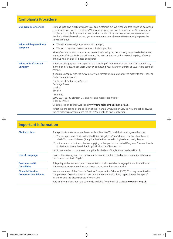### **Complaints Procedure Our promise of service** Our goal is to give excellent service to all Our customers but We recognise that things do go wrong occasionally. We take all complaints We receive seriously and aim to resolve all of Our customers' problems promptly. To ensure that We provide the kind of service You expect We welcome Your feedback. We will record and analyse Your comments to make sure We continually improve the service We offer. **What will happen if You complain** ■ We will acknowledge Your complaint promptly.  $\blacksquare$  We aim to resolve all complaints as quickly as possible. Most of our customers' concerns can be resolved quickly but occasionally more detailed enquiries

|                                  | are needed. If this is likely, We will contact You with an update within 10 working days of receipt<br>and give You an expected date of response.                                                                  |
|----------------------------------|--------------------------------------------------------------------------------------------------------------------------------------------------------------------------------------------------------------------|
| What to do if You are<br>unhappy | If You are unhappy with any aspect of the handling of Your insurance We would encourage You,<br>in the first instance, to seek resolution by contacting Your insurance adviser or usual Aviva point of<br>contact. |
|                                  | If You are unhappy with the outcome of Your complaint, You may refer the matter to the Financial<br>Ombudsman Service at:                                                                                          |
|                                  | The Financial Ombudsman Service<br>Exchange Tower<br>London<br>E14 9SR                                                                                                                                             |
|                                  | Telephone<br>0800 023 4567 (Calls from UK landlines and mobiles are free) or<br>0300 123 9123                                                                                                                      |
|                                  | Or simply log on to their website at www.financial-ombudsman.org.uk.                                                                                                                                               |
|                                  | Whilst We are bound by the decision of the Financial Ombudsman Service, You are not. Following<br>the complaints procedure does not affect Your right to take legal action.                                        |

| <b>Important Information</b>                            |                                                                                                                                                                                                                                            |  |
|---------------------------------------------------------|--------------------------------------------------------------------------------------------------------------------------------------------------------------------------------------------------------------------------------------------|--|
| <b>Choice of Law</b>                                    | The appropriate law as set out below will apply unless You and the insurer agree otherwise:<br>(1) The law applying in that part of the United Kingdom, Channel Islands or the Isle of Man in                                              |  |
|                                                         | which You normally live or (if applicable) the first named Policyholder normally lives; or                                                                                                                                                 |  |
|                                                         | (2) In the case of a business, the law applying in that part of the United Kingdom, Channel Islands<br>or the Isle of Man where it has its principal place of business; or                                                                 |  |
|                                                         | (3) Should neither of the above be applicable, the law of England and Wales will apply.                                                                                                                                                    |  |
| <b>Use of Language</b>                                  | Unless otherwise agreed, the contractual terms and conditions and other information relating to<br>this contract will be in English.                                                                                                       |  |
| <b>Customers with</b><br><b>Disabilities</b>            | This policy and other associated documentation is also available in large print, audio and Braille.<br>If You require any of these formats please contact Your insurance adviser.                                                          |  |
| <b>Financial Services</b><br><b>Compensation Scheme</b> | We are members of the Financial Services Compensation Scheme (FSCS). You may be entitled to<br>compensation from this scheme if we cannot meet our obligations, depending on the type of<br>insurance and the circumstances of your claim. |  |
|                                                         | Further information about the scheme is available from the FSCS website www.fscs.org.uk.                                                                                                                                                   |  |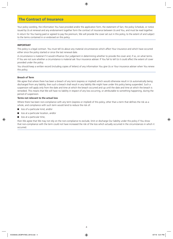## **The Contract of Insurance**

Your policy wording, the information You have provided and/or the application form, the statement of fact, the policy Schedule, or notice issued by Us at renewal and any endorsement together form the contract of insurance between Us and You, and must be read together.

In return for You having paid or agreed to pay the premium, We will provide the cover set out in this policy, to the extent of and subject to the terms contained in or endorsed on this policy.

### **IMPORTANT**

This policy is a legal contract. You must tell Us about any material circumstances which affect Your insurance and which have occurred either since the policy started or since the last renewal date.

A circumstance is material if it would influence Our judgement in determining whether to provide the cover and, if so, on what terms. If You are not sure whether a circumstance is material ask Your insurance adviser. If You fail to tell Us it could affect the extent of cover provided under the policy.

You should keep a written record (including copies of letters) of any information You give Us or Your insurance adviser when You renew this policy.

### **Breach of Term**

We agree that where there has been a breach of any term (express or implied) which would otherwise result in Us automatically being discharged from any liability, then such a breach shall result in any liability We might have under this policy being suspended. Such a suspension will apply only from the date and time at which the breach occurred and up until the date and time at which the breach is remedied. This means that We will have no liability in respect of any loss occurring, or attributable to something happening, during the period of suspension.

### **Terms not relevant to the actual loss**

Where there has been non-compliance with any term (express or implied) of this policy, other than a term that defines the risk as a whole, and compliance with such term would tend to reduce the risk of:

- loss of a particular kind, and/or
- loss at a particular location, and/or
- loss at a particular time.

then We agree that We may not rely on the non-compliance to exclude, limit or discharge Our liability under this policy if You show that non-compliance with the term could not have increased the risk of the loss which actually occurred in the circumstances in which it occurred.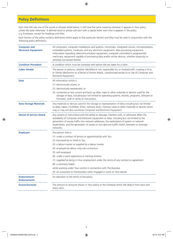# **Policy Definitions**

Each time We Use one of the words or phrases listed below, it will have the same meaning wherever it appears in Your policy unless We state otherwise. A defined word or phrase will start with a capital letter each time it appears in the policy e.g. Employee, except for headings and titles.

Each Section of the policy contains definitions which apply to that particular Section and they must be read in conjunction with the following policy definitions.

| <b>Computer and</b><br><b>Electronic Equipment</b> | All computers, computer installations and systems, microchips, integrated circuits, microprocessors,<br>embedded systems, hardware, and any electronic equipment, data processing equipment,<br>information repository, telecommunication equipment, computer controlled or programmed<br>machinery, equipment capable of processing data and/or similar devices, whether physically or<br>remotely connected thereto. |  |
|----------------------------------------------------|------------------------------------------------------------------------------------------------------------------------------------------------------------------------------------------------------------------------------------------------------------------------------------------------------------------------------------------------------------------------------------------------------------------------|--|
| <b>Condition Precedent</b>                         | A condition which must be complied with before We are liable for a claim.                                                                                                                                                                                                                                                                                                                                              |  |
| <b>Cyber Vandal</b>                                | The person or persons, whether identified or not, responsible for, or involved with, creating a Virus<br>or Similar Mechanism or a Denial of Service Attack, unauthorised access to or Use of Computer and<br>Electronic Equipment.                                                                                                                                                                                    |  |
| <b>Data</b>                                        | All information which is                                                                                                                                                                                                                                                                                                                                                                                               |  |
|                                                    | (1) electronically stored, or                                                                                                                                                                                                                                                                                                                                                                                          |  |
|                                                    | (2) electronically represented, or                                                                                                                                                                                                                                                                                                                                                                                     |  |
|                                                    | (3) contained on any current and back-up disks, tape or other materials or devices used for the<br>storage of data, including but not limited to operating systems, records, programs, software or<br>firmware, code or series of instructions.                                                                                                                                                                        |  |
| <b>Data Storage Materials</b>                      | Any materials or devices used for the storage or representation of Data including but not limited<br>to disks, tapes, CD-ROMs, DVDs, memory sticks, memory cards or other materials or devices which<br>may or may not also constitute Computer and Electronic Equipment.                                                                                                                                              |  |
| <b>Denial of Service Attack</b>                    | Any actions or instructions with the ability to damage, interfere with, or otherwise affect the<br>availability of Computer and Electronic Equipment or Data, including but not limited to the<br>generation of excess traffic into network addresses, the exploitation of system or network<br>weaknesses, and the generation of excess or non genuine traffic within, between or amongst<br>networks.                |  |
| <b>Employee</b>                                    | Any person who is                                                                                                                                                                                                                                                                                                                                                                                                      |  |
|                                                    | (1) under a contract of service or apprenticeship with You                                                                                                                                                                                                                                                                                                                                                             |  |
|                                                    | (2) borrowed by or hired to You                                                                                                                                                                                                                                                                                                                                                                                        |  |
|                                                    | (3) a labour master or supplied by a labour master                                                                                                                                                                                                                                                                                                                                                                     |  |
|                                                    | (4) employed by labour only sub-contractors                                                                                                                                                                                                                                                                                                                                                                            |  |
|                                                    | (5) self-employed                                                                                                                                                                                                                                                                                                                                                                                                      |  |
|                                                    | (6) under a work experience or training scheme                                                                                                                                                                                                                                                                                                                                                                         |  |
|                                                    | (7) regarded as being in Your employment under the terms of any contract or agreement                                                                                                                                                                                                                                                                                                                                  |  |
|                                                    | (8) a voluntary helper                                                                                                                                                                                                                                                                                                                                                                                                 |  |
|                                                    | while working under Your control in connection with The Business                                                                                                                                                                                                                                                                                                                                                       |  |
|                                                    | (9) an outworker or homeworker when engaged in work on Your behalf.                                                                                                                                                                                                                                                                                                                                                    |  |
| Endorsement/<br><b>Endorsements</b>                | An alteration to the terms of the policy.                                                                                                                                                                                                                                                                                                                                                                              |  |
| <b>Excess/Excesses</b>                             | The amount or amounts shown in Your policy or the Schedule which We deduct from each and<br>every claim.                                                                                                                                                                                                                                                                                                               |  |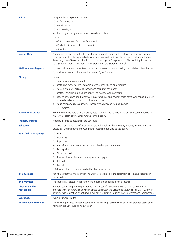| <b>Failure</b>                              | Any partial or complete reduction in the                                                                                                                                                                                                                                                                                                                                                 |  |
|---------------------------------------------|------------------------------------------------------------------------------------------------------------------------------------------------------------------------------------------------------------------------------------------------------------------------------------------------------------------------------------------------------------------------------------------|--|
|                                             | (1) performance, or                                                                                                                                                                                                                                                                                                                                                                      |  |
|                                             | (2) availability, or                                                                                                                                                                                                                                                                                                                                                                     |  |
|                                             | (3) functionality, or                                                                                                                                                                                                                                                                                                                                                                    |  |
|                                             | (4) the ability to recognise or process any date or time,                                                                                                                                                                                                                                                                                                                                |  |
|                                             | of any                                                                                                                                                                                                                                                                                                                                                                                   |  |
|                                             | (a) Computer and Electronic Equipment                                                                                                                                                                                                                                                                                                                                                    |  |
|                                             | (b) electronic means of communication                                                                                                                                                                                                                                                                                                                                                    |  |
|                                             | (c) website.                                                                                                                                                                                                                                                                                                                                                                             |  |
| <b>Loss of Data</b>                         | Physical or electronic or other loss or destruction or alteration or loss of use, whether permanent<br>or temporary, of or damage to Data, of whatsoever nature, in whole or in part, including, but not<br>limited to, Loss of Data resulting from loss or damage to Computers and Electronic Equipment or<br>Data Storage Materials, including while stored on Data Storage Materials. |  |
| <b>Malicious Contingency</b>                | (1) Riot, civil commotion, strikers, locked out workers or persons taking part in labour disturbances                                                                                                                                                                                                                                                                                    |  |
|                                             | (2) Malicious persons other than thieves and Cyber Vandals.                                                                                                                                                                                                                                                                                                                              |  |
| <b>Money</b>                                | Current                                                                                                                                                                                                                                                                                                                                                                                  |  |
|                                             |                                                                                                                                                                                                                                                                                                                                                                                          |  |
|                                             | (1) coin, bank and currency notes                                                                                                                                                                                                                                                                                                                                                        |  |
|                                             | (2) postal and money orders, bankers' drafts, cheques and giro cheques                                                                                                                                                                                                                                                                                                                   |  |
|                                             | (3) crossed warrants, bills of exchange and securities for money                                                                                                                                                                                                                                                                                                                         |  |
|                                             | (4) postage, revenue, national insurance and holiday with pay stamps                                                                                                                                                                                                                                                                                                                     |  |
|                                             | (5) national insurance and holiday with pay cards, national savings certificates, war bonds, premium<br>savings bonds and franking machine impressions                                                                                                                                                                                                                                   |  |
|                                             | (6) credit company sales vouchers, luncheon vouchers and trading stamps                                                                                                                                                                                                                                                                                                                  |  |
|                                             | (7) VAT invoices.                                                                                                                                                                                                                                                                                                                                                                        |  |
| <b>Period of Insurance</b>                  | From the effective date until the expiry date shown in the Schedule and any subsequent period for<br>which We accept payment for renewal of this policy.                                                                                                                                                                                                                                 |  |
| <b>Property Insured</b>                     | Property Insured as detailed in the Schedule.                                                                                                                                                                                                                                                                                                                                            |  |
| <b>Schedule</b>                             | The document which specifies details of the Policyholder, The Premises, Property Insured and any<br>Excess(es), Endorsements and Conditions Precedent applying to the policy.                                                                                                                                                                                                            |  |
| <b>Specified Contingency</b>                | $(1)$ Fire                                                                                                                                                                                                                                                                                                                                                                               |  |
|                                             | Lightning<br>(2)                                                                                                                                                                                                                                                                                                                                                                         |  |
|                                             | Explosion<br>(3)                                                                                                                                                                                                                                                                                                                                                                         |  |
|                                             | Aircraft and other aerial devices or articles dropped from them<br>(4)                                                                                                                                                                                                                                                                                                                   |  |
|                                             | (5) Earthquake                                                                                                                                                                                                                                                                                                                                                                           |  |
|                                             | Storm or flood<br>(6)                                                                                                                                                                                                                                                                                                                                                                    |  |
|                                             | Escape of water from any tank apparatus or pipe<br>(7)                                                                                                                                                                                                                                                                                                                                   |  |
|                                             | Falling trees<br>(8)                                                                                                                                                                                                                                                                                                                                                                     |  |
|                                             | Impact<br>(9)                                                                                                                                                                                                                                                                                                                                                                            |  |
|                                             | (10) Escape of fuel from any fixed oil heating installation.                                                                                                                                                                                                                                                                                                                             |  |
|                                             |                                                                                                                                                                                                                                                                                                                                                                                          |  |
| <b>The Business</b>                         | Activities directly connected with The Business described in the statement of fact and specified in<br>the Schedule.                                                                                                                                                                                                                                                                     |  |
| <b>The Premises</b>                         | The Premises as stated in the statement of fact and specified in the Schedule.                                                                                                                                                                                                                                                                                                           |  |
| <b>Virus or Similar</b><br><b>Mechanism</b> | Program code, programming instruction or any set of instructions with the ability to damage,<br>interfere with, or otherwise adversely affect Computer and Electronic Equipment or Data, whether<br>involving self-replication or not, including, but not limited to trojan horses, worms and logic bombs.                                                                               |  |
| We/Us/Our                                   | Aviva Insurance Limited.                                                                                                                                                                                                                                                                                                                                                                 |  |
| You/Your/Policyholder                       | The person, persons, company, companies, partnership, partnerships or unincorporated association                                                                                                                                                                                                                                                                                         |  |
|                                             | named in the Schedule as Policyholder.                                                                                                                                                                                                                                                                                                                                                   |  |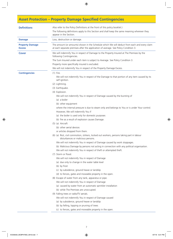# **Asset Protection – Property Damage Specified Contingencies**

| <b>Definitions</b>                      | Also refer to the Policy Definitions at the front of this policy booklet.)<br>The following definitions apply to this Section and shall keep the same meaning wherever they         |  |  |
|-----------------------------------------|-------------------------------------------------------------------------------------------------------------------------------------------------------------------------------------|--|--|
| <b>Damage</b>                           | appear in the Section.<br>Loss, destruction or damage.                                                                                                                              |  |  |
|                                         |                                                                                                                                                                                     |  |  |
| <b>Property Damage</b><br><b>Excess</b> | The amount (or amounts) shown in the Schedule which We will deduct from each and every claim<br>at each separate premises after the application of average. See Policy Condition 3. |  |  |
| <b>Cover</b>                            | We will indemnify You in respect of Damage to the Property Insured at The Premises by the<br>following Contingencies.                                                               |  |  |
|                                         | The Sum Insured under each item is subject to Average. See Policy Condition 3.                                                                                                      |  |  |
|                                         | Property more specifically insured is excluded.                                                                                                                                     |  |  |
|                                         | We will not indemnify You in respect of the Property Damage Excess.                                                                                                                 |  |  |
| <b>Contingencies</b>                    | $(1)$ Fire.                                                                                                                                                                         |  |  |
|                                         | We will not indemnify You in respect of the Damage to that portion of any item caused by its<br>self ignition.                                                                      |  |  |
|                                         | (2) Lightning.                                                                                                                                                                      |  |  |
|                                         | (3) Earthquake.                                                                                                                                                                     |  |  |
|                                         | (4) Explosion.                                                                                                                                                                      |  |  |
|                                         | We will not indemnify You in respect of Damage caused by the bursting of                                                                                                            |  |  |
|                                         | (a) a boiler                                                                                                                                                                        |  |  |
|                                         | (b) other equipment                                                                                                                                                                 |  |  |
|                                         | where the internal pressure is due to steam only and belongs to You or is under Your control.                                                                                       |  |  |
|                                         | However, We will indemnify You if                                                                                                                                                   |  |  |
|                                         | (a) the boiler is used only for domestic purposes                                                                                                                                   |  |  |
|                                         | (b) fire as a result of explosion causes Damage.                                                                                                                                    |  |  |
|                                         | $(5)$ (a) Aircraft                                                                                                                                                                  |  |  |
|                                         | (b) other aerial devices                                                                                                                                                            |  |  |
|                                         | or articles dropped from them.                                                                                                                                                      |  |  |
|                                         | (6) (a) Riot, civil commotion, strikers, locked out workers, persons taking part in labour<br>disturbances or malicious persons.                                                    |  |  |
|                                         | We will not indemnify You in respect of Damage caused by work stoppages.                                                                                                            |  |  |
|                                         | (b) Malicious Damage by persons not acting in connection with any political organisation.                                                                                           |  |  |
|                                         | We will not indemnify You in respect of theft or attempted theft.                                                                                                                   |  |  |
|                                         | (7) Storm or flood.                                                                                                                                                                 |  |  |
|                                         | We will not indemnify You in respect of Damage                                                                                                                                      |  |  |
|                                         | (a) due only to change in the water table level                                                                                                                                     |  |  |
|                                         | (b) by frost                                                                                                                                                                        |  |  |
|                                         | (c) by subsidence, ground heave or landslip                                                                                                                                         |  |  |
|                                         | (d) to fences, gates and moveable property in the open.                                                                                                                             |  |  |
|                                         | (8) Escape of water from any tank, apparatus or pipe.                                                                                                                               |  |  |
|                                         | We will not indemnify You in respect of Damage                                                                                                                                      |  |  |
|                                         | (a) caused by water from an automatic sprinkler installation                                                                                                                        |  |  |
|                                         | (b) while The Premises are unoccupied.                                                                                                                                              |  |  |
|                                         | (9) Falling trees or radio/TV aerials.                                                                                                                                              |  |  |
|                                         | We will not indemnify You in respect of Damage caused                                                                                                                               |  |  |
|                                         | (a) by subsidence, ground heave or landslip                                                                                                                                         |  |  |
|                                         | (b) by felling, lopping or pruning of trees                                                                                                                                         |  |  |
|                                         | (c) to fences, gates and moveable property in the open.                                                                                                                             |  |  |
|                                         |                                                                                                                                                                                     |  |  |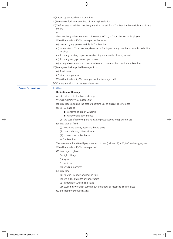|                         | (10) Impact by any road vehicle or animal.                                                                    |
|-------------------------|---------------------------------------------------------------------------------------------------------------|
|                         | (11) Leakage of fuel from any fixed oil heating installation.                                                 |
|                         | (12) Theft or attempted theft involving entry into or exit from The Premises by forcible and violent<br>means |
|                         | or                                                                                                            |
|                         | theft involving violence or threat of violence to You, or Your directors or Employees.                        |
|                         | We will not indemnify You in respect of Damage                                                                |
|                         | (a) caused by any person lawfully in The Premises                                                             |
|                         | (b) where You or Your partners, directors or Employees or any member of Your household is<br>involved         |
|                         | (c) from any building or part of any building not capable of being locked.                                    |
|                         | (d) from any yard, garden or open space                                                                       |
|                         | (e) to any showcase or automatic machine and contents fixed outside the Premises                              |
|                         | (13) Leakage of bulk supplied beverages from                                                                  |
|                         | (a) fixed tanks                                                                                               |
|                         | (b) pipes or apparatus.                                                                                       |
|                         | We will not indemnify You in respect of the beverage itself.                                                  |
|                         | (14) Consequential loss or damage of any kind.                                                                |
| <b>Cover Extensions</b> | 1. Glass                                                                                                      |
|                         | <b>Definition of Damage</b>                                                                                   |
|                         | Accidental loss, destruction or damage.                                                                       |
|                         | We will indemnify You in respect of                                                                           |
|                         | (a) breakage (including the cost of boarding up) of glass at The Premises                                     |
|                         | (b) (i) Damage to                                                                                             |
|                         | contents of display windows                                                                                   |
|                         | window and door frames                                                                                        |
|                         |                                                                                                               |
|                         | (ii) the cost of removing and reinstating obstructions to replacing glass                                     |
|                         | (c) breakage of fixed                                                                                         |
|                         | (i) washhand basins, pedestals, baths, sinks                                                                  |
|                         | (ii) lavatory bowls, bidets, cisterns                                                                         |
|                         | (iii) shower trays, splashbacks                                                                               |
|                         | at The Premises.                                                                                              |
|                         | The maximum that We will pay in respect of item $(b)(i)$ and $(ii)$ is £2,000 in the aggregate.               |
|                         | We will not indemnify You in respect of                                                                       |
|                         | (1) breakage of glass in                                                                                      |
|                         | (a) light fittings                                                                                            |
|                         | (b) signs                                                                                                     |
|                         | (c) vehicles                                                                                                  |
|                         | (d) vending machines                                                                                          |
|                         | (2) breakage                                                                                                  |
|                         | (a) to Stock in Trade or goods in trust                                                                       |
|                         | (b) while The Premises are unoccupied                                                                         |
|                         | (c) in transit or while being fitted                                                                          |
|                         | (d) caused by workmen carrying out alterations or repairs to The Premises                                     |
|                         | (3) the Property Damage Excess.                                                                               |
|                         |                                                                                                               |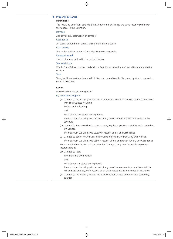### **2. Property in Transit**

### **Definitions**

The following definitions apply to this Extension and shall keep the same meaning wherever they appear in the Extension.

Damage

Accidental loss, destruction or damage.

**Occurrence** 

An event, or number of events, arising from a single cause.

Own Vehicle

Any motor vehicle and/or trailer which You own or operate.

### Property Insured

Stock in Trade as defined in the policy Schedule.

### Territorial Limits

Within Great Britain, Northern Ireland, the Republic of Ireland, the Channel Islands and the Isle of Man.

Tools

Tools, tool kit or test equipment which You own or are hired by You, used by You in connection with The Business.

### **Cover**

We will indemnify You in respect of

### (1) Damage to Property

(a) Damage to the Property Insured while in transit in Your Own Vehicle used in connection with The Business including:

loading and unloading

and

while temporarily stored during transit.

The maximum We will pay in respect of any one Occurrence is the Limit stated in the Schedule.

(b) Damage to Your own sheets, ropes, chains, toggles or packing materials while carried on any vehicle.

The maximum We will pay is £2,500 in respect of any one Occurrence.

(c) Damage to You or Your driver's personal belongings in, or from, any Own Vehicle. The maximum We will pay is £250 in respect of any one person for any one Occurrence.

We will not indemnify You or Your driver for Damage to any item insured by any other insurance policy.

(d) Damage to Tools

in or from any Own Vehicle

and

while temporary stored during transit.

The maximum We will pay in respect of any one Occurrence or from any Own Vehicle will be £250 and £1,000 in respect of all Occurrences in any one Period of Insurance.

(e) Damage to the Property Insured while at exhibitions which do not exceed seven days duration.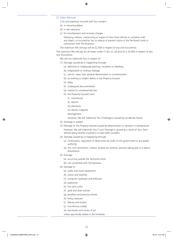### (2) Debris Removal

Cost and expenses incurred with Our consent

- (a) in removing debris
- (b) in site clearance
- (c) for transhipment and recovery charges

following collision, overturning or impact of Your Own Vehicle or container with any object, or incurred by You to reduce or prevent claims in the Territorial Limits in connection with The Business.

The maximum We will pay will be £2,500 in respect of any one Occurrence.

The maximum We will pay for all losses under (1) (b), (c), (d) and (2) is £5,000 in respect of any one Occurrence.

We will not indemnify You in respect of

- (1) Damage caused by or happening through
	- (a) defective or inadequate packing, insulation or labelling
	- (b) evaporation or ordinary leakage
	- (c) vermin, wear, tear, gradual deterioration or contamination
	- (d) an existing or hidden defect in the Property Insured
	- (e) delay
	- (f) inadequate documentation
	- (g) indirect or consequential loss
	- (h) the Property Insured's own
		- (i) mechanical
		- (ii) electric
		- (iii) electronic
		- (iv) electro magnetic
		- derangement.

However, We will indemnify You if Damage is caused by accidental means.

- (2) shortage in weight.
- (3) Damage to The Property Insured caused by deterioration or variation in temperature. However, We will indemnify You if such Damage is caused as a result of Your Own Vehicle being directly involved in a road traffic accident.
- (4) Damage caused by or happening through
	- (a) confiscation, requisition or destruction by order of the government or any public authority
	- (b) riot, civil commotion, strikers, locked out workers, persons taking part in a labour disturbance.
- (5) Damage
	- (a) occurring outside the Territorial Limits
	- (b) not connected with The Business.
- (6) Damage to
	- (a) audio and visual equipment
	- (b) clocks and watches
	- (c) computer hardware and software
	- (d) explosives
	- (e) furs and curios
	- (f) gold and silver articles
	- (g) jewellery and precious stones
	- (h) living creatures
	- (i) Money and bullion
	- (j) non-ferrous metals
	- (k) rare books and works of art
	- unless specifically stated in the Schedule.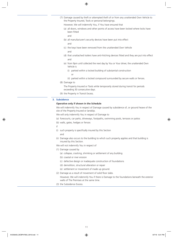- (7) Damage caused by theft or attempted theft of or from any unattended Own Vehicle to the Property Insured, Tools or personal belongings.
	- However, We will indemnify You, if You have ensured that
	- (a) all doors, windows and other points of access have been locked where locks have been fitted

and

and

- (b) all manufacturer's security devices have been put into effect
- (c) the keys have been removed from the unattended Own Vehicle and
- (d) that unattached trailers have anti-hitching devices fitted and they are put into effect and
- (e) from 9pm until collected the next day by You or Your driver, the unattended Own Vehicle is
	- (i) parked within a locked building of substantial construction

 $\Omega$ 

- (ii) parked within a locked compound surrounded by secure walls or fences.
- (8) Damage to
	- The Property Insured or Tools while temporarily stored during transit for periods exceeding 30 consecutive days.
- (9) the Property in Transit Excess.

### **3. Subsidence**

### **Operative only if shown in the Schedule**

We will indemnify You in respect of Damage caused by subsidence of, or ground heave of the site of the Property Insured or landslip.

- We will only indemnify You in respect of Damage to
- (a) forecourts, car parks, driveways, footpaths, swimming pools, terraces or patios
- (b) walls, gates, hedges or fences
- if
- (i) such property is specifically insured by this Section and
- (ii) Damage also occurs to the building to which such property applies and that building is insured by this Section.

We will not indemnify You in respect of

- (1) Damage caused by
	- (a) collapse, cracking, shrinking or settlement of any building
	- (b) coastal or river erosion
	- (c) defective design or inadequate construction of foundations
	- (d) demolition, structural alteration or repair
	- (e) settlement or movement of made up ground.
- (2) Damage as a result of movement of solid floor slabs.
	- However, We will indemnify You if there is Damage to the foundations beneath the exterior walls of The Premises at the same time.
- (3) the Subsidence Excess.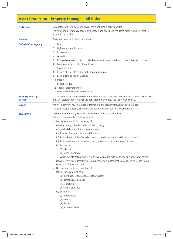# **Asset Protection – Property Damage – All Risks**

| <b>Definitions</b>                      | (Also refer to the Policy Definitions at the front of this policy booklet.)<br>The following definitions apply to this Section and shall keep the same meaning wherever they        |  |
|-----------------------------------------|-------------------------------------------------------------------------------------------------------------------------------------------------------------------------------------|--|
|                                         |                                                                                                                                                                                     |  |
|                                         | appear in the Section.                                                                                                                                                              |  |
| <b>Damage</b>                           | Accidental loss, destruction or damage.                                                                                                                                             |  |
| <b>Defined Contingency</b>              | $(1)$ Fire                                                                                                                                                                          |  |
|                                         | Lightning or earthquake<br>(2)                                                                                                                                                      |  |
|                                         | Explosion<br>(3)                                                                                                                                                                    |  |
|                                         | Aircraft<br>(4)                                                                                                                                                                     |  |
|                                         | Riot, civil commotion, strikers, locked out workers or persons taking part in labour disturbances<br>(5)                                                                            |  |
|                                         | Malicious persons other than thieves<br>(6)                                                                                                                                         |  |
|                                         | Storm or flood<br>(7)                                                                                                                                                               |  |
|                                         | Escape of water from any tank, apparatus or pipe<br>(8)                                                                                                                             |  |
|                                         | (9) Falling trees or radio/TV aerials                                                                                                                                               |  |
|                                         | $(10)$ Impact                                                                                                                                                                       |  |
|                                         | (11) Leakage of fuel                                                                                                                                                                |  |
|                                         | (12) Theft or attempted theft                                                                                                                                                       |  |
|                                         | (13) Leakage of bulk supplied beverages.                                                                                                                                            |  |
| <b>Property Damage</b><br><b>Excess</b> | The amount (or amounts) shown in the Schedule which We will deduct from each and every claim<br>at each separate Premises after the application of average. See Policy Condition 3. |  |
| <b>Cover</b>                            | We will indemnify You in respect of Damage to the Property Insured at The Premises.                                                                                                 |  |
|                                         | The Sum Insured under each item is subject to Average. See Policy Condition 3.                                                                                                      |  |
| <b>Exclusions</b>                       | (Also refer to the Policy Exclusions at the back of this policy booklet.)                                                                                                           |  |
|                                         | We will not indemnify You in respect of                                                                                                                                             |  |
|                                         | (1) Damage caused by or consisting of                                                                                                                                               |  |
|                                         | (a) an existing or hidden defect in the property                                                                                                                                    |  |
|                                         | (b) gradual deterioration or wear and tear                                                                                                                                          |  |
|                                         | (c) frost or change in the water table level                                                                                                                                        |  |
|                                         | (d) faulty design of the Property Insured or faulty materials Used in its construction                                                                                              |  |
|                                         | (e) faulty workmanship, operating error or omission by You or any Employee                                                                                                          |  |
|                                         | (f) the bursting of                                                                                                                                                                 |  |
|                                         | (i) a boiler                                                                                                                                                                        |  |
|                                         | (ii) other equipment                                                                                                                                                                |  |
|                                         | where the internal pressure is due to steam only and belongs to You or is under Your control.                                                                                       |  |
|                                         | However, We will indemnify You in respect of any subsequent Damage which results from a<br>cause not otherwise excluded.                                                            |  |
|                                         | (2) Damage caused by or consisting of                                                                                                                                               |  |
|                                         | (a) (i) corrosion, rust or rot                                                                                                                                                      |  |
|                                         | (ii) shrinkage, evaporation or loss of weight                                                                                                                                       |  |
|                                         | (iii) dampness or dryness                                                                                                                                                           |  |
|                                         | (iv) scratching                                                                                                                                                                     |  |
|                                         | (v) vermin or insects                                                                                                                                                               |  |
|                                         | (b) change in                                                                                                                                                                       |  |
|                                         | (i) temperature                                                                                                                                                                     |  |
|                                         | (ii) colour                                                                                                                                                                         |  |
|                                         | (iii) flavour                                                                                                                                                                       |  |
|                                         | (iv) texture or finish                                                                                                                                                              |  |
|                                         |                                                                                                                                                                                     |  |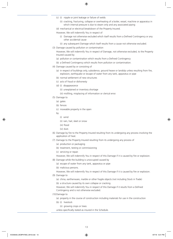- (c) (i) nipple or joint leakage or failure of welds
	- (ii) cracking, fracturing, collapse or overheating of a boiler, vessel, machine or apparatus in which internal pressure is due to steam only and any associated piping
- (d) mechanical or electrical breakdown of the Property Insured.

However, We will indemnify You in respect of

- (i) Damage not otherwise excluded which itself results from a Defined Contingency or any other accidental cause
- (ii) any subsequent Damage which itself results from a cause not otherwise excluded.
- (3) Damage caused by pollution or contamination

However, We will indemnify You in respect of Damage, not otherwise excluded, to the Property Insured caused by

- (a) pollution or contamination which results from a Defined Contingency
- (b) a Defined Contingency which results from pollution or contamination.
- (4) Damage caused by or consisting of
	- (a) in respect of buildings only, subsidence, ground heave or landslip unless resulting from fire, explosion, earthquake or escape of water from any tank, apparatus or pipe
	- (b) normal settlement of new structures
	- (c) acts of fraud or dishonesty
	- (d) (i) disappearance
		- (ii) unexplained or inventory shortage

(iii) misfiling, misplacing of information or clerical error.

- (5) Damage to
	- (a) gates
	- (b) fences
	- (c) moveable property in the open
	- by
		- (i) wind
		- (ii) rain, hail, sleet or snow
		- (iii) flood
		- (iv) dust.
- (6) Damage by fire to the Property Insured resulting from its undergoing any process involving the application of heat.
- (7) Damage to the Property Insured resulting from its undergoing any process of
	- (a) production or packaging
	- (b) treatment, testing or commissioning
	- (c) servicing or repair.
	- However, We will indemnify You in respect of this Damage if it is caused by fire or explosion.
- (8) Damage while the building is unoccupied caused by
	- (a) escape of water from any tank, apparatus or pipe
	- (b) malicious persons.

However, We will indemnify You in respect of this Damage if it is caused by fire or explosion. (9) Damage to

- - (a) china, earthenware, marble or other fragile objects (not including Stock in Trade)
	- (b) a structure caused by its own collapse or cracking.

However, We will indemnify You in respect of this Damage if it results from a Defined Contingency and is not otherwise excluded.

- (10) Damage to
	- (a) property in the course of construction including materials for use in the construction
	- (b) (i) livestock
		- (ii) growing crops or trees
	- unless specifically stated as insured in the Schedule.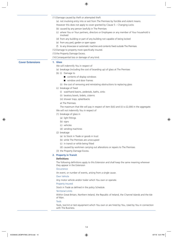(11) Damage caused by theft or attempted theft

(a) not involving entry into or exit from The Premises by forcible and violent means.

- However this does not apply to cover granted by Clause 5 Changing Locks
- (b) caused by any person lawfully in The Premises
- (c) where You or Your partners, directors or Employees or any member of Your household is involved
- (d) from any building or part of any building not capable of being locked
- (e) from any yard, garden or open space
- (f) to any showcase or automatic machine and contents fixed outside The Premises.
- (12) Damage to property more specifically insured.
- (13) the Property Damage Excess.

(14) Consequential loss or damage of any kind.

### **Cover Extensions 1. Glass**

- We will indemnify You in respect of
- (a) breakage (including the cost of boarding up) of glass at The Premises
- (b) (i) Damage to
	- $\Box$  contents of display windows
	- $\blacksquare$  window and door frames
	- (ii) the cost of removing and reinstating obstructions to replacing glass
- (c) breakage of fixed
	- (i) washhand basins, pedestals, baths, sinks
	- (ii) lavatory bowls, bidets, cisterns
	- (iii) shower trays, splashbacks
	- at The Premises.

The maximum that We will pay in respect of item (b)(i) and (ii) is £2,000 in the aggregate.

We will not indemnify You in respect of

- (1) breakage of glass in
	- (a) light fittings
	- (b) signs
	- (c) vehicles
	- (d) vending machines
- (2) breakage
	- (a) to Stock in Trade or goods in trust
	- (b) while The Premises are unoccupied
	- (c) in transit or while being fitted
	- (d) caused by workmen carrying out alterations or repairs to The Premises
- (3) the Property Damage Excess.

### **2. Property in Transit**

### **Definitions**

The following definitions apply to this Extension and shall keep the same meaning wherever they appear in the Extension

### **Occurrence**

An event, or number of events, arising from a single cause.

### Own Vehicle

Any motor vehicle and/or trailer which You own or operate.

### Property Insured

Stock in Trade as defined in the policy Schedule.

### Territorial Limits

Within Great Britain, Northern Ireland, the Republic of Ireland, the Channel Islands and the Isle of Man.

### Tools

Tools, tool kit or test equipment which You own or are hired by You, Used by You in connection with The Business.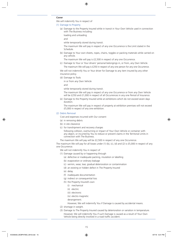### **Cover**

We will indemnify You in respect of

### (1) Damage to Property

(a) Damage to the Property Insured while in transit in Your Own Vehicle used in connection with The Business including:

loading and unloading

and

while temporarily stored during transit.

The maximum We will pay in respect of any one Occurrence is the Limit stated in the Schedule.

(b) Damage to Your own sheets, ropes, chains, toggles or packing materials while carried on any vehicle.

The maximum We will pay is £2,500 in respect of any one Occurrence.

(c) Damage to Your or Your drivers' personal belongings in, or from, any Own Vehicle. The maximum We will pay is £250 in respect of any one person for any one Occurrence.

We will not indemnify You or Your driver for Damage to any item insured by any other insurance policy.

(d) Damage to Tools

in or from any Own Vehicle

and

while temporarily stored during transit.

The maximum We will pay in respect of any one Occurrence or from any Own Vehicle will be £250 and £1,000 in respect of all Occurrences in any one Period of Insurance.

(e) Damage to the Property Insured while at exhibitions which do not exceed seven days duration.

The maximum We will pay in respect of property at exhibition premises will not exceed £5,000 in respect of any one exhibition.

### (2) Debris Removal

Cost and expenses incurred with Our consent

- (a) in removing debris
- (b) in site clearance
- (c) for transhipment and recovery charges

following collision, overturning or impact of Your Own Vehicle or container with any object, or incurred by You to reduce or prevent claims in the Territorial Limits in connection with The Business.

The maximum We will pay will be £2,500 in respect of any one Occurrence.

The maximum We will pay for all losses under  $(1)$  (b),  $(c)$ ,  $(d)$  and  $(2)$  is £5,000 in respect of any one Occurrence.

We will not indemnify You in respect of

- (1) Damage caused by or happening through
	- (a) defective or inadequate packing, insulation or labelling
	- (b) evaporation or ordinary leakage
	- (c) vermin, wear, tear, gradual deterioration or contamination
	- (d) an existing or hidden defect in The Property Insured
	- (e) delay
	- (f) inadequate documentation
	- (g) indirect or consequential loss
	- (h) the Property Insured's own
		- (i) mechanical
		- (ii) electric
		- (iii) electronic
		- (iv) electro magnetic
		- derangement.

However, We will indemnify You if Damage is caused by accidental means.

- (2) shortage in weight.
- (3) Damage to The Property Insured caused by deterioration or variation in temperature. However, We will indemnify You if such Damage is caused as a result of Your Own Vehicle being directly involved in a road traffic accident.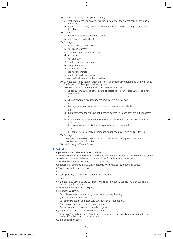- (4) Damage caused by or happening through
	- (a) confiscation, requisition or destruction by order of the government or any public authority
	- (b) riot, civil commotion, strikers, locked out workers, persons taking part in labour disturbance.
- (5) Damage
	- (a) occurring outside the Territorial Limits
	- (b) not connected with The Business.
- (6) Damage to
	- (a) audio and visual equipment
	- (b) clocks and watches
	- (c) computer hardware and software
	- (d) explosives
	- (e) furs and curios
	- (f) jewellery and precious stones
	- (g) living creatures
	- (h) Money and bullion
	- (i) non-ferrous metals
	- (j) rare books and works of art

unless specifically stated in the Schedule.

(7) Damage caused by theft or attempted theft of or from any unattended Own Vehicle to The Property, Tools or personal belongings.

However, We will indemnify You, if You have ensured that

- (a) all doors, windows and other points of access have been locked where locks have been fitted
	- and
- (b) all manufacturer's security devices have been put into effect and
- (c) the keys have been removed from the unattended Own Vehicle and
- (d) that unattached trailers have anti-hitching devices fitted and they are put into effect and
- (e) from 9pm until collected the next day by You or Your driver, the unattended Own Vehicle is
	- (i) parked within a locked building of substantial construction or
	- (ii) parked within a locked compound surrounded by secure walls or fences.
- (8) Damage to
	- The Property Insured or Tools while temporarily stored during transit for periods exceeding 30 consecutive days.
- (9) the Property in Transit Excess.

### **3. Subsidence**

### **Operative only if shown in the Schedule**

We will indemnify You in respect of Damage to the Property Insured at The Premises caused by subsidence of, or ground heave of the site of the Property Insured or landslip.

We will only indemnify You in respect of Damage to

- (a) forecourts, car parks, driveways, footpaths, swimming pools, terraces or patios
- (b) walls, gates, hedges or fences
- if
- (i) such property is specifically insured by this Section
	- and
- (ii) Damage also occurs to the building to which such property applies and that building is insured by this Section.

We will not indemnify You in respect of

- (1) Damage caused by
	- (a) collapse, cracking, shrinking or settlement of any building
	- (b) coastal or river erosion
	- (c) defective design or inadequate construction of foundations
	- (d) demolition, structural alteration or repair
	- (e) settlement or movement of made up ground.
- (2) Damage as a result of movement of solid floor slabs.
	- However, We will indemnify You if there is Damage to the foundations beneath the exterior walls of The Premises at the same time.
- (3) the Subsidence Excess.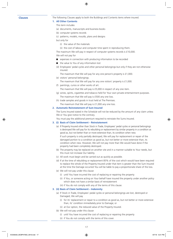**Clauses** The following Clauses apply to both the Buildings and Contents items where insured.

### **1. All Other Contents**

- This term includes
- (a) documents, manuscripts and business books
- (b) computer systems records
- (c) patterns, models, moulds, plans and designs

but only for

- (i) the value of the materials
- (ii) the cost of labour and computer time spent in reproducing them.

The maximum We will pay in respect of computer systems records is £10,000.

We will not pay for

- **n** expenses in connection with producing information to be recorded
- $\blacksquare$  the value to You of any information lost
- (d) Employees' pedal cycles and other personal belongings but only if they are not otherwise insured.

The maximum that We will pay for any one person's property is £1,000.

- (e) visitors' personal belongings.
	- The maximum that We will pay for any one visitors' property is £1,000.
- (f) paintings, curios or other works of art.

The maximum that We will pay is £5,000 in respect of any one item.

- (g) wines, spirits, cigarettes and tobacco held for Your own private entertainment purposes. The maximum that We will pay is £500 any one loss.
- (h) trade samples and goods in trust held at The Premises.
	- The maximum that We will pay is £1,000 any one loss.

### **2. Automatic Reinstatement of Sum Insured**

The Sums Insured stated in the Schedule will not be reduced by the amount of any claim unless We or You give notice to the contrary.

You must pay the additional premium required to reinstate the Sums Insured.

### **3. (i) Basis of Claim Settlement – Reinstatement**

(a) If Property Insured other than Stock in Trade, Employees' pedal cycles or personal belongings is destroyed We will pay for its rebuilding or replacement by similar property in a condition as good as, but not better than or more extensive than, its condition when new.

If such property is only partially destroyed, We will pay for replacement or repair of the damaged portion to a condition as good as, but not better or more extensive than, its condition when new. However, We will not pay more than We would have done if the property had been completely destroyed.

- (b) The property may be replaced on another site and in a manner suitable to Your needs, but this must not increase Our liability.
- (c) All work must begin and be carried out as quickly as possible.
- (d) If at the time of rebuilding or replacement 85% of the cost which would have been required to replace the whole of the Property Insured under that item is greater than the Sum Insured at the time the Damage occurred You will be liable to pay a proportionate share of the loss.
- (e) We will not pay under this clause
	- (i) until You have incurred the cost of replacing or repairing the property
	- (ii) if You, or someone acting on Your behalf have insured the property under another policy which does not have a similar basis of reinstatement
	- (iii) if You do not comply with any of the terms of this clause.

### **3. (ii) Basis of Claim Settlement – Indemnity**

- (a) If Stock in Trade, Employees' pedal cycles or personal belongings are lost, destroyed or Damaged, We will pay
	- (i) for its' replacement or repair to a condition as good as, but not better or more extensive than, its' condition immediately prior to Damage; or
	- (ii) at Our option, the reduced value of the Property Insured.
- (b) We will not pay under this clause
	- (i) until You have incurred the cost of replacing or repairing the property
	- (ii) if You do not comply with the terms of this cover.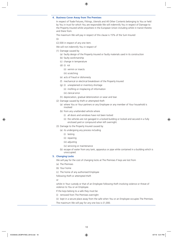### **4. Business Cover Away from The Premises**

In respect of Trade Fixtures, Fittings, Utensils and All Other Contents belonging to You or held by You in trust for which You are responsible We will indemnify You in respect of Damage to the Property Insured whilst anywhere in the European Union including whilst in transit thereto and there from.

The maximum We will pay in respect of this clause is 15% of the Sum Insured Or

£2,500 in respect of any one item.

We will not indemnify You in respect of

- (1) Damage caused by
	- (a) faulty design of the Property Insured or faulty materials used in its construction
	- (b) faulty workmanship
	- (c) change in temperature
	- (d) (i) rot
		- (ii) vermin or insects

(iii) scratching

- (e) acts of fraud or dishonesty
- (f) mechanical or electrical breakdown of the Property Insured
- (g) (i) unexplained or inventory shortage
	- (ii) misfiling or misplacing of information
	- (iii) clerical error
- (h) depreciation, gradual deterioration or wear and tear.
- (2) Damage caused by theft or attempted theft
	- (a) where You or Your partners or any Employee or any member of Your household is involved
	- (b) from any unattended vehicle where
		- (i) all doors and windows have not been locked
		- (ii) the vehicles are not garaged in a locked building or locked and secured in a fully enclosed yard or compound when left overnight.
- (3) Damage to the Property Insured caused by
	- (a) its undergoing any process including
		- (i) testing
		- (ii) repairing
		- (iii) adjusting
		- (iv) servicing or maintenance
	- (b) escape of water from any tank, apparatus or pipe while contained in a building which is unoccupied.

### **5. Changing Locks**

We will pay for the cost of changing locks at The Premises if keys are lost from

- (a) The Premises
- (b) Your home
- (c) The home of any authorised Employee
- following theft or attempted theft
- or

whilst in Your custody or that of an Employee following theft involving violence or threat of violence to You or an Employee.

If the keys belong to a safe they must be

- (i) removed from The Premises overnight
- (ii) kept in a secure place away from the safe when You or an Employee occupies The Premises. The maximum We will pay for any one loss is £1,000.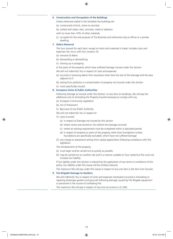### **6. Construction and Occupation of the Buildings**

Unless otherwise stated in the Schedule the buildings are

- (a) constructed of brick, stone or concrete
- (b) roofed with slates, tiles, concrete, metal or asbestos

with no more than 10% of other materials

(c) occupied for the sole purpose of The Business and otherwise only as offices or a private dwelling.

### **7. Debris Removal**

The Sum Insured for each item, except on stock and materials in trade, includes costs and expenses You incur, with Our consent, for

- (a) removal of debris
- (b) dismantling or demolishing
- (c) shoring up or propping
- of the parts of the property which have suffered Damage insured under this Section.

We will not indemnify You in respect of costs and expenses

- (a) incurred in removing debris from anywhere other than the site of the Damage and the area adjacent to it
- (b) arising from pollution or contamination of property not insured under this Section
- (c) more specifically insured.

### **8. European Union & Public Authorities**

Following Damage as insured under this Section, to any item on buildings, We will pay the additional cost of reinstating the Property Insured necessary to comply with any

- (a) European Community Legislation
- (b) Act of Parliament
- (c) Bye-Laws of any Public Authority.

We will not indemnify You in respect of

- (1) costs incurred
	- (a) in respect of Damage not insured by this Section
	- (b) where notice was served on You before the Damage occurred
	- (c) where an existing requirement must be completed within a stipulated period
	- (d) in respect of property or parts of the property, other than foundations (unless foundations are specifically excluded), which have not suffered Damage
- (2) any charge or assessment arising from capital appreciation following compliance with this legislation.
- The reinstatement of the property
- (a) must begin and be carried out as quickly as possible
- (b) may be carried out on another site and in a manner suitable to Your needs but this must not increase Our liability.

If Our liability under this Section is reduced by the application of any terms or conditions of this policy, Our liability under this clause will be similarly reduced.

The maximum We will pay under this clause in respect of any one item is the item Sum Insured.

### **9. Fire Brigade Damage to Gardens**

We will indemnify You in respect of costs and expenses necessarily incurred in reinstating or repairing landscape gardens and grounds following damage caused by Fire Brigade equipment or personnel in the course of combating fire.

The maximum We will pay in respect of any one occurrence is £1,000.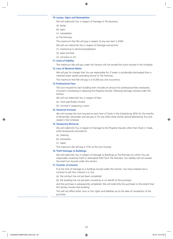### **10. Lamps, Signs and Nameplates**

We will indemnify You in respect of Damage to The Business

- (a) lamps
- (b) signs
- (c) nameplates
- at The Premises.

The maximum that We will pay in respect of any one item is £500.

We will not indemnify You in respect of Damage arising from

- (1) mechanical or electrical breakdown
- (2) wear and tear
- (3) corrosion or rot.

### **11. Limit of liability**

The maximum We will pay under this Section will not exceed the Sums Insured in the Schedule.

### **12. Loss of Metered Water**

We will pay for charges that You are responsible for, if water is accidentally discharged from a metered water system providing service to The Premises.

The maximum that We will pay is £10,000 any one occurrence.

### **13. Professional Fees**

The Sum Insured for each building item includes an amount for professional fees necessarily incurred in reinstating or repairing the Property Insured, following Damage insured under this Section.

We will not indemnify You in respect of fees

- (a) more specifically insured
- (b) incurred in preparing a claim.

### **14. Seasonal Increase**

We will increase the Sum Insured on each item of Stock in the Schedule by 30% for the months of November, December and January or for any other three month period selected by You and stated in the Schedule.

### **15. Temporary Removal**

We will indemnify You in respect of Damage to the Property Insured, other than Stock in Trade, while temporarily removed for

- (a) cleaning
- (b) renovation
- (c) repair.
- The maximum We will pay is 15% of the Sum Insured.

### **16. Theft Damage to Buildings**

We will indemnify You in respect of Damage to Buildings at The Premises for which You are responsible caused by theft or attempted theft from The Premises. Our liability will not exceed the total Sum Insured under this Section.

### **17. Transfer of Interest**

If at the time of Damage to a building insured under this Section, You have entered into a contract to sell Your interest in it, but

- (a) the contract has not yet been completed
- (b) the building has not yet been insured by or on behalf of the purchaser

and the purchase is subsequently completed, We will indemnify the purchaser to the extent that this Section insures that building.

This will not affect either Your or Our rights and liabilities up to the date of completion of the purchase.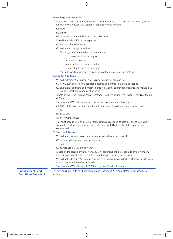### **18. Underground Services**

Where We provide indemnity in respect of Your Buildings, or You are liable as tenant, We will indemnify You in respect of accidental damage to underground

- (a) pipes
- (b) cables

which extend from the Buildings to the public mains.

- We will not indemnify You in respect of
- (1) the cost of maintenance
- (2) accidental damage caused by
	- (a) (i) gradual deterioration or wear and tear
		- (ii) corrosion, rust, rot or fungus
		- (iii) vermin or insects
		- (iv) atmospheric or climatic conditions
		- (v) normal settlement or shrinkage
	- (b) faulty workmanship, defective design or the use of defective materials.

### **19. Capital Additions**

We will indemnify You in respect of loss, destruction or damage to

- (1) newly built and/or newly acquired buildings and/or trade fixtures and fittings
- (2) alterations, additions and improvements to buildings and/or trade fixtures and fittings, but not in respect of any appreciation value

situate anywhere in England, Wales, Scotland, Northern Ireland, the Channel Islands or the Isle of Man.

The maximum We will pay in respect of any one location under this Clause is

- (a) 10% of the total Buildings and trade fixtures and fittings Sum Insured by this Section or
- (b) £500,000

whichever is the lower.

You must provide Us with details of these extensions as soon as possible, but at least within six months and specifically insure such extensions with Us, from the date Our exposure commenced.

### **20. Trace and Access**

We will pay reasonable costs and expenses incurred with Our consent

- (1) in locating the actual source of Damage
	- and
- (2) any repairs directly arising from (1)

caused by the escape of water from any tank apparatus or pipe or leakage of fuel from any fixed oil heating installation, provided such Damage is insured by this Section.

We will not indemnify You in respect of costs or expenses incurred where Damage results solely from a change in the water table level.

The maximum We will pay is £10,000 in any one Period of Insurance.

**Endorsements and Conditions Precedent** This Section is subject to any Endorsement and Conditions Precedent stated in the Schedule as applying.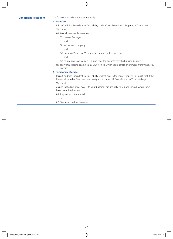**Conditions Precedent** The following Conditions Precedent apply.

### **1. Due Care**

It is a Condition Precedent to Our liability under Cover Extension 2. Property in Transit that You must

(a) take all reasonable measures to

- (i) prevent Damage
	- and
- (ii) secure loads properly
	- and
- (iii) maintain Your Own Vehicle in accordance with current law

and

- (iv) ensure any Own Vehicle is suitable for the purpose for which it is to be used
- (b) allow Us access to examine any Own Vehicle which You operate or premises from which You operate.

### **2. Temporary Storage**

It is a Condition Precedent to Our liability under Cover Extension 2. Property in Transit that if the Property Insured or Tools are temporarily stored on or off Own Vehicles in Your buildings You must

ensure that all points of access to Your buildings are securely closed and locked, where locks have been fitted, when

(a) they are left unattended

or

(b) You are closed for business.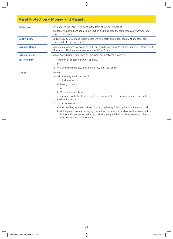# **Asset Protection – Money and Assault**

| <b>Definitions</b>    | (Also refer to the Policy Definitions at the front of this policy booklet.)<br>The following definitions apply to this Section and shall keep the same meaning wherever they<br>appear in the Section.                                                                                                                                                                                                                                                                                                                                                                             |
|-----------------------|------------------------------------------------------------------------------------------------------------------------------------------------------------------------------------------------------------------------------------------------------------------------------------------------------------------------------------------------------------------------------------------------------------------------------------------------------------------------------------------------------------------------------------------------------------------------------------|
| <b>Bodily Injury</b>  | Bodily injury by violent and visible means which, directly and independently of any other cause,<br>results in death or disablement.                                                                                                                                                                                                                                                                                                                                                                                                                                               |
| <b>Business Hours</b> | Your normal working hours and any other period during which You or any Employee entrusted with<br>Money is on The Premises in connection with The Business.                                                                                                                                                                                                                                                                                                                                                                                                                        |
| <b>Insured Person</b> | You or Your directors, principals or Employees aged between 16 and 65.                                                                                                                                                                                                                                                                                                                                                                                                                                                                                                             |
| <b>Loss of Limb</b>   | (1) severance at or above the wrist or ankle<br>or<br>(2) total and permanent loss of use of a hand, arm, foot or leg.                                                                                                                                                                                                                                                                                                                                                                                                                                                             |
| Cover                 | <b>Money</b><br>We will indemnify You in respect of<br>(1) loss of Money, which<br>(a) belongs to You<br>or<br>(b) You are responsible for<br>in connection with The Business up to the Limit Any One Loss set against each item in the<br>Specification below<br>(2) loss or damage to<br>(a) any case, bag, or waistcoat used for carrying Money following theft or attempted theft<br>(b) clothing and personal belongings owned by You, Your principals or any Employee up to a<br>limit of £500 per person following theft or attempted theft involving violence or threat of |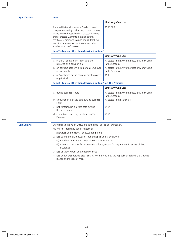### **Specification Item 1**

|                                                                                                                                                                                                                                                                                                                       | <b>Limit Any One Loss</b> |
|-----------------------------------------------------------------------------------------------------------------------------------------------------------------------------------------------------------------------------------------------------------------------------------------------------------------------|---------------------------|
| Stamped National Insurance Cards, crossed<br>cheques, crossed giro cheques, crossed money<br>orders, crossed postal orders, crossed bankers'<br>drafts, crossed warrants, national savings<br>certificates, premium savings bonds, franking<br>machine impressions, credit company sales<br>vouchers and VAT invoices | £250,000                  |

### **Item 2 – Money other than described in Item 1**

|                                                                            | <b>Limit Any One Loss</b>                                         |
|----------------------------------------------------------------------------|-------------------------------------------------------------------|
| (a) in transit or in a bank night safe until<br>removed by a bank official | As stated in the Any other loss of Money Limit<br>in the Schedule |
| (b) on contract sites while You or any Employee<br>is working there        | As stated in the Any other loss of Money Limit<br>in the Schedule |
| (c) at Your home or the home of any Employee<br>or principal               | £500                                                              |

**Item 3 – Money other than described in Item 1 on The Premises**

|                                                                 | <b>Limit Any One Loss</b>                                         |
|-----------------------------------------------------------------|-------------------------------------------------------------------|
| (a) during Business Hours                                       | As stated in the Any other loss of Money Limit<br>in the Schedule |
| (b) contained in a locked safe outside Business<br><b>Hours</b> | As stated in the Schedule                                         |
| not contained in a locked safe outside<br><b>Business Hours</b> | £500                                                              |
| (d) in vending or gaming machines on The<br>Premises            | £500                                                              |

**Exclusions** (Also refer to the Policy Exclusions at the back of this policy booklet.)

We will not indemnify You in respect of

(1) shortages due to clerical or accounting errors

- (2) loss due to the dishonesty of Your principals or any Employee
	- (a) not discovered within seven working days of the loss
	- (b) where a more specific insurance is in force, except for any amount in excess of that insurance
- (3) loss of Money from unattended vehicles
- (4) loss or damage outside Great Britain, Northern Ireland, the Republic of Ireland, the Channel Islands and the Isle of Man.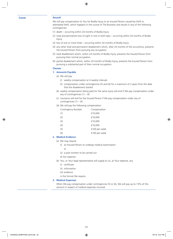### **Cover Assault**

We will pay compensation to You for Bodily Injury to an Insured Person caused by theft or attempted theft, which happens in the course of The Business and results in any of the following contingencies

- (1) death occurring within 24 months of Bodily Injury
- (2) total and permanent loss of sight in one or both eyes occurring within 24 months of Bodily Injury
- (3) loss of one or more limbs occurring within 24 months of Bodily Injury
- (4) any other total and permanent disablement which, after 24 months of the occurrence, prevents the Insured Person from pursuing any occupation
- (5) total disablement which, within 24 months of Bodily Injury, prevents the Insured Person from pursuing their normal occupation
- (6) partial disablement which, within 24 months of Bodily Injury, prevents the Insured Person from pursuing a substantial part of their normal occupation.

### **Clauses**

- **1. Amounts Payable**
	- (a) We will pay
		- (i) weekly compensation at 4 weekly intervals
		- (ii) compensation under contingencies (5) and (6) for a maximum of 2 years from the date that the disablement started
	- (b) weekly compensation being paid for the same injury will end if We pay compensation under any of contingencies  $(1) - (4)$
	- (c) insurance will end for the Insured Person if We pay compensation under any of contingencies  $(1) - (4)$
	- (d) We will pay the following compensation

| Contingency Number | Compensation  |
|--------------------|---------------|
| (1)                | £10,000       |
| (2)                | £10,000       |
| (3)                | £10,000       |
| (4)                | £10,000       |
| (5)                | £100 per week |
| (6)                | £100 per week |
|                    |               |

### **2. Medical Evidence**

- (a) We may require
	- (i) an Insured Person to undergo medical examination
		- or
	- (ii) a post mortem to be carried out
	- at Our expense.
- (b) You, or Your legal representative will supply to Us, at Your expense, any
	- (i) certificate
	- (ii) information
	- (iii) evidence
	- in the format We require.

### **3. Medical Expenses**

When We pay compensation under contingencies (5) or (6), We will pay up to 15% of this amount in respect of medical expenses incurred.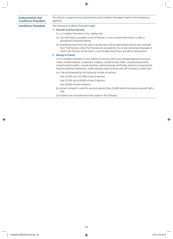### **Endorsements and Conditions Precedent**

This Section is subject to any Endorsements and Conditions Precedent stated in the Schedule as applying.

**Conditions Precedent** The following Conditions Precedent apply.

- **1. Records and Key Security**
	- It is a Condition Precedent to Our liability that
	- (a) You shall keep a complete record of Money in a secure place other than in a safe or strongroom containing Money
	- (b) outside Business Hours the safe or strong room will be kept locked and the keys removed from The Premises unless The Premises are occupied by You or any authorised Employee in which case the keys will be kept in a secure place away from any safe or strong room.

### **2. Money in Transit**

It is a Condition Precedent to Our liability for Money (other than stamped National Insurance Cards, crossed cheques, crossed giro cheques, crossed money orders, crossed postal orders, crossed banker's drafts, crossed warrants, national savings certificates, premium savings bonds, franking machine impressions, credit company sales vouchers and VAT invoices) in transit that

- (a) it be accompanied by the following number of persons
	- over £2,000 up to £5,000 at least 2 persons

over £5,000 up to £8,000 at least 3 persons

over £8,000 at least 4 persons

(b) private transport is used for amounts greater than £2,000 where the distance exceeds half a mile.

Our liability will not exceed the limits stated in the Schedule.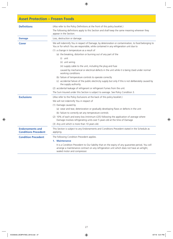# **Asset Protection – Frozen Foods**

| <b>Definitions</b>                                     | (Also refer to the Policy Definitions at the front of this policy booklet.)<br>The following definitions apply to this Section and shall keep the same meaning wherever they<br>appear in the Section.                         |
|--------------------------------------------------------|--------------------------------------------------------------------------------------------------------------------------------------------------------------------------------------------------------------------------------|
| <b>Damage</b>                                          | Loss, destruction or damage.                                                                                                                                                                                                   |
| <b>Cover</b>                                           | We will indemnify You in respect of Damage, by deterioration or contamination, to food belonging to<br>You or for which You are responsible, while contained in any refrigeration unit due to                                  |
|                                                        | (1) a change in temperature as a result of                                                                                                                                                                                     |
|                                                        | (a) the breaking, distortion or burning out of any part of the                                                                                                                                                                 |
|                                                        | $(i)$ unit                                                                                                                                                                                                                     |
|                                                        | (ii) unit wiring                                                                                                                                                                                                               |
|                                                        | (iii) supply cable to the unit, including the plug and fuse                                                                                                                                                                    |
|                                                        | caused by mechanical or electrical defects in the unit while it is being Used under normal<br>working conditions                                                                                                               |
|                                                        | (b) failure of temperature controls to operate correctly                                                                                                                                                                       |
|                                                        | (c) accidental failure of the public electricity supply but only if this is not deliberately caused by<br>the supply authority.                                                                                                |
|                                                        | (2) accidental leakage of refrigerant or refrigerant fumes from the unit.                                                                                                                                                      |
|                                                        | The Sum Insured under this Section is subject to average. See Policy Condition 3.                                                                                                                                              |
| <b>Exclusions</b>                                      | (Also refer to the Policy Exclusions at the back of this policy booklet.)                                                                                                                                                      |
|                                                        | We will not indemnify You in respect of                                                                                                                                                                                        |
|                                                        | (1) Damage caused by                                                                                                                                                                                                           |
|                                                        | (a) wear and tear, deterioration or gradually developing flaws or defects in the unit                                                                                                                                          |
|                                                        | (b) failure to correctly set any temperature controls                                                                                                                                                                          |
|                                                        | (2) 10% of each and every loss (minimum £25) following the application of average where<br>Damage involves refrigerating units over 5 years old at the time of Damage                                                          |
|                                                        | (3) Any unit which is more than 10 years old.                                                                                                                                                                                  |
| <b>Endorsements and</b><br><b>Conditions Precedent</b> | This Section is subject to any Endorsements and Conditions Precedent stated in the Schedule as<br>applying.                                                                                                                    |
| <b>Condition Precedent</b>                             | The following Condition Precedent applies.                                                                                                                                                                                     |
|                                                        | 1. Maintenance                                                                                                                                                                                                                 |
|                                                        | It is a Condition Precedent to Our liability that on the expiry of any guarantee period, You will<br>arrange a maintenance contract on any refrigeration unit which does not have an airtight,<br>sealed motor and compressor. |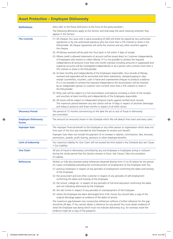# **Asset Protection – Employee Dishonesty**

| <b>Definitions</b>                          | (Also refer to the Policy Definitions at the front of this policy booklet.)                                                                                                                                                                                                                                                                                                                                                                                                                        |  |
|---------------------------------------------|----------------------------------------------------------------------------------------------------------------------------------------------------------------------------------------------------------------------------------------------------------------------------------------------------------------------------------------------------------------------------------------------------------------------------------------------------------------------------------------------------|--|
|                                             | The following definitions apply to this Section and shall keep the same meaning wherever they<br>appear in the Section.                                                                                                                                                                                                                                                                                                                                                                            |  |
| <b>The Controls</b>                         | (1) All cheques You issue with a value exceeding £5,000 will either be signed by two authorised<br>signatories or by one authorised signatory who has more than a 5% interest or share in the<br>Policyholder. All cheque signatories will verify the invoices and any other vouchers against<br>the cheque.                                                                                                                                                                                       |  |
|                                             | (2) All Money received will be paid into Your bank in full within 3 days of receipt.                                                                                                                                                                                                                                                                                                                                                                                                               |  |
|                                             | (3) Where credit is allowed statements of account will be issued direct to Customer independently<br>of Employees who receive or collect Money. If it is not possible to achieve the required<br>independence all amounts more than one month overdue including amounts in suppressed and<br>suspense accounts will be investigated independently or by a person who controls more than a<br>5% interest or share in the Policyholder.                                                             |  |
|                                             | (4) At least monthly and independently of the Employees responsible, Your records of Money<br>received and expended will be reconciled with bank statements, stamped paying-in slips,<br>receipt counterfoils, vouchers, cash in hand and unpresented cheques to produce a balance.<br>If it is not possible to achieve the required independence the reconciliation will be checked<br>by an independent person or a person who controls more than a 5% interest or share in<br>the Policyholder. |  |
|                                             | (5) Petty cash will be subject to a full reconciliation and balance including a check of the receipts<br>and vouchers at least monthly and independently of the Employees responsible.                                                                                                                                                                                                                                                                                                             |  |
|                                             | (6) All stocks will be subject to independent physical checks against verified stock records.<br>The maximum period between any two checks will be 14 days in respect of alcoholic beverages<br>and tobacco products and three months in respect of all other stocks.                                                                                                                                                                                                                              |  |
| <b>Discovery Period</b>                     | The period of 12 months commencing on the date the act or acts of fraud or dishonesty<br>are committed.                                                                                                                                                                                                                                                                                                                                                                                            |  |
| <b>Employee Dishonesty</b><br><b>Excess</b> | The amount (or amounts) shown in the Schedule which We will deduct from each and every claim.                                                                                                                                                                                                                                                                                                                                                                                                      |  |
| <b>Improper Gain</b>                        | The improper financial benefit to the Employee or any other person or organisation which does not<br>form part of You but was intended by that Employee to receive such benefit.                                                                                                                                                                                                                                                                                                                   |  |
|                                             | Improper Gain does not include the payment of or increase in salaries, commissions, fees, bonuses,<br>promotions, awards, profit sharing, pensions or other employee benefits.                                                                                                                                                                                                                                                                                                                     |  |
| <b>Limit of Indemnity</b>                   | Our maximum liability for One Claim will not exceed the limit stated in the Schedule (but see Clause<br>1 Our Liability).                                                                                                                                                                                                                                                                                                                                                                          |  |
| <b>One Claim</b>                            | All acts of fraud or dishonesty committed by any one Employee or Employees acting in collusion<br>during the whole period that this Section remains in force. See Clause 2 Non-Accumulation<br>of Liability.                                                                                                                                                                                                                                                                                       |  |
| <b>References</b>                           | Written or fully documented verbal references obtained directly from (1) to (5) below for the period<br>of 2 years immediately preceding the commencement of employment of the Employee with You                                                                                                                                                                                                                                                                                                   |  |
|                                             | (1) previous employers in respect of any period(s) of employment confirming the dates and honesty<br>of the Employee                                                                                                                                                                                                                                                                                                                                                                               |  |
|                                             | (2) the accountant and one other customer in respect of any period(s) of self-employment<br>confirming the dates and honesty of the Employee                                                                                                                                                                                                                                                                                                                                                       |  |
|                                             | (3) the school, college etc. in respect of any period(s) of full-time education confirming the dates<br>and not indicating dishonesty by the Employee                                                                                                                                                                                                                                                                                                                                              |  |
|                                             | (4) the Job Centre in respect of any period(s) of unemployment of the Employee                                                                                                                                                                                                                                                                                                                                                                                                                     |  |
|                                             | (5) where the Employee has been discharged from H.M. Forces You should take a copy of the<br>original discharge papers as evidence of the dates of service.                                                                                                                                                                                                                                                                                                                                        |  |
|                                             | The maximum gap between two consecutive references without a further reference for the gap<br>should be 28 days. If You cannot obtain a reference for any period You must obtain evidence of<br>what the Employee was doing which must not indicate dishonesty (e.g. for overseas travel the<br>evidence might be a copy of the passport).                                                                                                                                                         |  |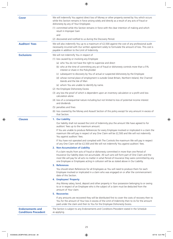| <b>Cover</b>                                           | We will indemnify You against direct loss of Money or other property owned by You which occurs<br>while this Section remains in force arising solely and directly as a result of any acts of fraud or<br>dishonesty by any of Your Employees                                                                                                                                            |
|--------------------------------------------------------|-----------------------------------------------------------------------------------------------------------------------------------------------------------------------------------------------------------------------------------------------------------------------------------------------------------------------------------------------------------------------------------------|
|                                                        | (1) committed while this Section remains in force with the clear intention of making and which<br>result in Improper Gain                                                                                                                                                                                                                                                               |
|                                                        | and                                                                                                                                                                                                                                                                                                                                                                                     |
|                                                        | (2) discovered and notified to us during the Discovery Period.                                                                                                                                                                                                                                                                                                                          |
| <b>Auditors' Fees</b>                                  | We will also indemnify You up to a maximum of £2,500 against the cost of any professional audit<br>necessarily incurred with Our written agreement solely to formulate the amount of loss. This cost is<br>payable in addition to the Limit of Indemnity.                                                                                                                               |
| <b>Exclusions</b>                                      | We will not indemnify You in respect of                                                                                                                                                                                                                                                                                                                                                 |
|                                                        | (1) loss caused by or involving any Employee                                                                                                                                                                                                                                                                                                                                            |
|                                                        | (a) who You do not have the right to supervise and direct                                                                                                                                                                                                                                                                                                                               |
|                                                        | (b) who at the time of committing any act of fraud or dishonesty controls more than a 5%<br>interest or share in the Policyholder                                                                                                                                                                                                                                                       |
|                                                        | (c) subsequent to discovery by You of actual or suspected dishonesty by the Employee                                                                                                                                                                                                                                                                                                    |
|                                                        | (d) whose normal place of employment is outside Great Britain, Northern Ireland, the Channel<br>Islands and the Isle of Man                                                                                                                                                                                                                                                             |
|                                                        | (e) whom You are unable to identify by name.                                                                                                                                                                                                                                                                                                                                            |
|                                                        | (2) the Employee Dishonesty Excess                                                                                                                                                                                                                                                                                                                                                      |
|                                                        | (3) any loss the proof of which is dependent upon an inventory calculation or a profit and loss<br>calculation alone                                                                                                                                                                                                                                                                    |
|                                                        | (4) loss of a consequential nature including but not limited to loss of potential income interest<br>and dividends                                                                                                                                                                                                                                                                      |
|                                                        | (5) penalties and fines                                                                                                                                                                                                                                                                                                                                                                 |
|                                                        | (6) loss covered by the Money and Assault Section of this policy except for any amount in excess of<br>that Section.                                                                                                                                                                                                                                                                    |
| <b>Clauses</b>                                         | 1. Our Liability                                                                                                                                                                                                                                                                                                                                                                        |
|                                                        | Our liability shall not exceed the Limit of Indemnity plus the amount We have agreed to for<br>auditors' fees up to the maximum amount.                                                                                                                                                                                                                                                 |
|                                                        | If You are unable to produce References for every Employee involved or implicated in a claim the<br>maximum We will pay in respect of any One Claim will be £2,500 and We will not indemnify<br>You against auditors' fees.                                                                                                                                                             |
|                                                        | If You have not operated and complied with The Controls the maximum We will pay in respect<br>of any One Claim will be £2,500 and We will not indemnify You against auditors' fees.                                                                                                                                                                                                     |
|                                                        | 2. Non-Accumulation of Liability                                                                                                                                                                                                                                                                                                                                                        |
|                                                        | If a claim results from acts of fraud or dishonesty committed in more than one Period of<br>Insurance Our liability does not accumulate. All such acts will form part of One Claim and the<br>most We will pay for all acts no matter in what Period of Insurance they were committed by any<br>one Employee or Employees acting in collusion will be as stated above in Our Liability. |
|                                                        | 3. References                                                                                                                                                                                                                                                                                                                                                                           |
|                                                        | You should retain References for all Employees as You will need to produce them for each<br>Employee involved or implicated in a claim who was engaged on or after the commencement<br>date of this Section.                                                                                                                                                                            |
|                                                        | 4. Employees' Property                                                                                                                                                                                                                                                                                                                                                                  |
|                                                        | Any Money salary, bond, deposit and other property in Your possession belonging to or owing<br>to or in respect of an Employee who is the subject of a claim must be deducted from the<br>amount of Your claim.                                                                                                                                                                         |
|                                                        | <b>5. Recoveries</b>                                                                                                                                                                                                                                                                                                                                                                    |
|                                                        | If any amounts are recovered they will be distributed first to cover the costs of recovery then to<br>You for the amount of Your loss in excess of the Limit of Indemnity then to Us for the amount<br>paid under the claim and then to You for the Employee Dishonesty Excess.                                                                                                         |
| <b>Endorsements and</b><br><b>Conditions Precedent</b> | The Section is subject to any Endorsements and Conditions Precedent stated in the Schedule<br>as applying.                                                                                                                                                                                                                                                                              |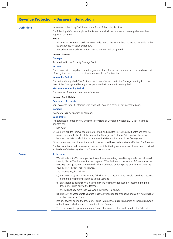### **Revenue Protection – Business Interruption**

**Definitions** (Also refer to the Policy Definitions at the front of this policy booklet.)

The following definitions apply to this Section and shall keep the same meaning wherever they appear in the Section.

### **Notes**

- (1) All terms in this Section exclude Value Added Tax to the extent that You are accountable to the tax authorities for value added tax.
- (2) Any adjustment made for current cost accounting will be ignored.

### **Item on Income**

### **Damage**

As described in the Property Damage Section.

### **Income**

The money paid or payable to You for goods sold and for services rendered less the purchase cost of food, drink and tobacco provided on or sold from The Premises.

### **Indemnity Period**

The period during which The Business results are affected due to the Damage, starting from the date of the Damage and lasting no longer than the Maximum Indemnity Period.

### **Maximum Indemnity Period**

The number of months stated in the Schedule.

### **Item on Book Debts**

### **Customers' Accounts**

Your accounts for all Customers who trade with You on a credit or hire purchase basis.

### **Damage**

Accidental loss, destruction or damage.

### **Book Debts**

The total last recorded by You under the provisions of Condition Precedent 2. Debit Recording adjusted for

### (1) bad debts

(2) amounts debited (or invoiced but not debited) and credited (including credit notes and cash not passed through the books at the time of the Damage) to Customers' Accounts in the period between the date to which the last statement relates and the date of the Damage, and

(3) any abnormal condition of trade which had or could have had a material effect on The Business.

The figures adjusted will represent as near as possible, the figures which would have been obtained at the date of the Damage had the Damage not occurred.

### **Cover 1. Income**

We will indemnify You in respect of loss of Income resulting from Damage to Property Insured Used by You at The Premises for the purpose of The Business to the extent of Cover under the Property Damage Section and where liability is admitted under a policy of insurance covering Your interest in such Property Insured.

The amount payable will be

- (a) the amount by which the Income falls short of the Income which would have been received during the Indemnity Period due to the Damage
- (b) any additional expense You incur to prevent or limit the reduction in Income during the Indemnity Period due to the Damage.

We will not pay more than We would pay under (a) above.

(c) auditors' or accountants' charges reasonably incurred for producing and certifying details of a claim under this Section

less any savings during the Indemnity Period in respect of business charges or expenses payable out of Income which reduce or stop due to the Damage.

The total amount payable during any Period of Insurance is the Limit stated in the Schedule.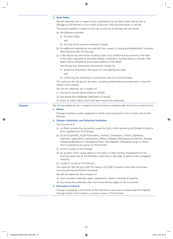### **2. Book Debts**

We will indemnify You in respect of loss sustained by You for Book Debts directly due to Damage at The Premises to Your books of account, other business books or records.

The amount payable in respect of any one occurrence of Damage will not exceed

- (a) the difference between
	- (i) the Book Debts
		- and
	- (ii) the total of the amounts received or traced
- (b) the additional expenditure incurred with Our consent in tracing and establishing Customers' debit balances after the Damage
- (c) if We require any information to verify a claim Your professional accountants at the time of the claim may produce and report details contained in business books or records. Their report will be accepted as prima facie evidence of the details.

We will pay Your professional accountants charges for

- (i) producing information We require for investigating any claim and
- (ii) confirming the information in accordance with Your business books.

The maximum We will pay for any claim, including professional accountants fees, is the limit stated in the Schedule.

We will not indemnify You in respect of

- (1) loss due to records being mislaid or misfiled
- (2) loss arising from deliberate falsification of records
- (3) failure to collect debts which have been traced and established.

**Clauses** We will also indemnify You in respect of loss of Income as insured under this Section resulting from

### **1. Boilers**

Damage to boilers or other equipment in which internal pressure is due to steam only on The Premises.

### **2. Disease, Infestation and Defective Sanitation**

The occurrence of

- (a) an illness sustained by any person caused by food or drink poisoning attributable to food or drink supplied from The Premises
- (b) Acute Encephalitis, Acute Poliomyelitis, Anthrax, Chickenpox, Cholera, Diphtheria, Dysentery, Legionellosis, Leptospirosis, Malaria, Measles, Meningococcal Infection, Mumps, Opthalmia Neonatorum, Paratyphoid Fever, Viral Hepatitis, Whooping Cough or Yellow Fever sustained by any person at The Premises
- (c) Vermin or pests at The Premises
- (d) An accident which causes defects in the drains or other sanitary arrangements at The Premises where Use of The Premises is restricted on the order or advice of the competent authority.
- (e) murder or suicide at The Premises.

The maximum We will pay under this clause is £25,000 in respect of the total of all losses occurring during the Period of Insurance.

We will not indemnify You in respect of

- (a) costs incurred in cleaning, repair, replacement, recall or checking of property
- (b) loss arising from premises other than those directly subject to the occurrence.

### **3. Prevention of Access**

Damage to property in the vicinity of The Premises by any cause included under the Property Damage Section which hinders or prevents access to The Premises.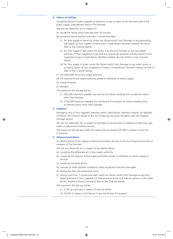### **4. Failure of Utilities**

Accidental failure of public supplies of electricity or gas or water at the terminal ends of the public supply undertaking's feed to The Premises

We will not indemnify You in respect of

- (a) accidental failure which lasts less than 30 minutes
- (b) accidental failure lasting more than 7 consecutive days
	- (i) for Your supply of electricity unless the failure results from Damage to any generating sub station of Your supplier of electricity in Great Britain, Northern Ireland, the Isle of Man or the Channel Islands
	- (ii) for Your supply of gas unless the failure is as result of Damage to any land based premises of Your supplier(s) of gas and any natural gas producer directly linked to Your supplier(s) of gas in Great Britain, Northern Ireland, the Isle of Man or the Channel Islands
	- (iii) for Your supply of water unless the failure results from Damage to any water works or pumping station of Your supplier(s) of water in Great Britain, Northern Ireland, the Isle of Man or the Channel Islands
- (c) the deliberate act of any supply authority
- (d) the exercise of any supply authority power to withdraw or restrict supply
- (e) industrial action
- (f) drought.
- The maximum We will pay will be
	- (i) £50,000 maximum payable any one loss for failure resulting from accidental means other than Damage
	- (ii) £100,000 maximum payable any one Period of Insurance for failure resulting from accidental means other than Damage.

### **5. Suppliers**

Damage to any of Your suppliers' premises within Great Britain, Northern Ireland, the Republic of Ireland, the Channel Islands or the Isle of Man by any cause included under the Property Damage Section.

We will not indemnify You in respect of Damage at any premises of suppliers of electricity, gas, water or telecommunications services.

The maximum We will pay under this clause will not exceed £25,000 in respect of any one occurrence.

### **6. Telecommunications**

Accidental failure of the supply of telecommunication services at the incoming line terminals or receivers at The Premises.

We will not indemnify You in respect of accidental failure

- (a) caused by the deliberate act of any supply authority
- (b) caused by the exercise of any supply authority's power to withdraw or restrict supply or services
- (c) caused by industrial action
- (d) drought or other weather conditions unless equipment has been damaged
- (e) lasting less than 24 consecutive hours
- (f) lasting more than 7 consecutive days unless the failure results from Damage at any land based premises of Your supplier(s) of telecommunications and internet services in the Great Britain, Northern Ireland, the Isle of Man or the Channel Islands.

The maximum We will pay will be

- (i) £100 for each day in respect of any one failure
- (ii) £2,500 in respect of all failures in any one Period of Insurance.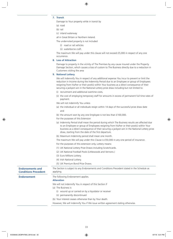### **7. Transit**

Damage to Your property while in transit by

- (a) road
- (b) rail
- (c) inland waterway

all in Great Britain or Northern Ireland.

The undernoted property is not included

- (i) road or rail vehicles
- (ii) waterborne craft.

The maximum We will pay under this clause will not exceed £5,000 in respect of any one occurrence.

### **8. Loss of Attraction**

Damage to property in the vicinity of The Premises by any cause insured under the Property Damage Section, which causes a loss of custom to The Business directly due to a reduction in Customers visiting the area

### **9. National Lottery**

We will indemnify You in respect of any additional expense You incur to prevent or limit the reduction in Income during the Indemnity Period due to an Employee or group of Employees resigning from his/her or their post(s) within Your business as a direct consequence of their securing a jackpot win in the National Lottery prize draw including but not limited to:

- (i) recruitment and additional overtime costs,
- (ii) the cost of employing temporary staff for amounts in excess of permanent full time rates of payment.
- We will not indemnify You unless
- (a) the individual or all individuals resign within 14 days of the successful prize draw date and
- (b) the amount won by any one Employee is not less than £100,000.
- For the purposes of this Extension
- (a) Indemnity Period shall mean the period during which The Business results are affected due to an Employee or group of Employees resigning from his/her or their post(s) within Your business as a direct consequence of their securing a jackpot win in the National Lottery prize draw, starting from the date of the first departure.
- (b) Maximum Indemnity period shall mean one month.
- The maximum We will pay under this Clause is £50,000 in any one period of insurance.
- For the purposes of this extension only, Lottery means:
- (1) UK National Lottery Prize Draws including Scratchcards.
- (2) UK National Football Pools (Littlewoods and Vernons.)
- (3) Euro Millions Lottery.
- (4) Irish National Lottery.

(5) UK Premium Bond Prize Draws.

| <b>Endorsements and</b><br><b>Conditions Precedent</b> | The Section is subject to any Endorsements and Conditions Precedent stated in the Schedule as<br>applying. |
|--------------------------------------------------------|------------------------------------------------------------------------------------------------------------|
| Endorsement                                            | The following Endorsement applies.<br><b>Alteration</b>                                                    |
|                                                        | We will not indemnify You in respect of this Section if                                                    |
|                                                        | (a) The Business is                                                                                        |
|                                                        | (i) wound up or carried on by a liquidator or receiver                                                     |
|                                                        | (ii) permanently discontinued                                                                              |
|                                                        | (b) Your interest ceases otherwise than by Your death.                                                     |
|                                                        | However, We will indemnify You if We issue written agreement stating otherwise.                            |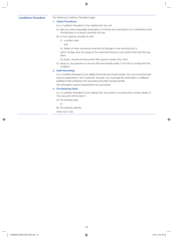### **Conditions Precedent** The following Conditions Precedent apply

### **1. Claims Procedures**

- It is a Condition Precedent to Our liability that You will
- (a) take any action reasonably practicable to minimise any interruption of or interference with The Business or to avoid or diminish the loss
- (b) at Your expense, provide Us with
	- (i) a written claim
		- and
	- (ii) details of other insurances covering the Damage or loss resulting from it

within 30 days after the expiry of the Indemnity Period or such further time that We may allow

- (iii) books, records and documents We require to assess Your claim
- (c) repay Us, any payment on account We have already made, if You fail to comply with this condition.

### **2. Debit Recording**

It is a Condition Precedent to Our liability that at the end of each quarter You must record the total amount outstanding in Your Customers' Accounts. You must keep this information in a different building to that containing Your accounting and other business records.

This information may be maintained by Your accountant.

### **3. Fire Resisting Safes**

It is a Condition Precedent to Our liability that Your books or records which contain details of Your accounts will be kept in

(a) fire resisting safes

or

- (b) fire resisting cabinets
- when not in Use.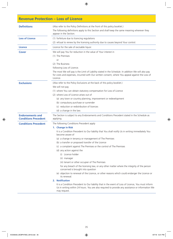## **Revenue Protection – Loss of Licence**

| <b>Definitions</b>                                     | (Also refer to the Policy Definitions at the front of this policy booklet.)<br>The following definitions apply to this Section and shall keep the same meaning wherever they<br>appear in the Section.                                                                                                                                                                                                                                                                                                                                                                                                                                                                                                                                                                                                                                                                                                                                                                                             |  |  |  |  |
|--------------------------------------------------------|----------------------------------------------------------------------------------------------------------------------------------------------------------------------------------------------------------------------------------------------------------------------------------------------------------------------------------------------------------------------------------------------------------------------------------------------------------------------------------------------------------------------------------------------------------------------------------------------------------------------------------------------------------------------------------------------------------------------------------------------------------------------------------------------------------------------------------------------------------------------------------------------------------------------------------------------------------------------------------------------------|--|--|--|--|
| <b>Loss of Licence</b>                                 | (1) forfeiture due to licencing regulations<br>(2) refusal to renew by the licensing authority due to causes beyond Your control.                                                                                                                                                                                                                                                                                                                                                                                                                                                                                                                                                                                                                                                                                                                                                                                                                                                                  |  |  |  |  |
| <b>Licence</b>                                         | Licence for the sale of excisable liquor.                                                                                                                                                                                                                                                                                                                                                                                                                                                                                                                                                                                                                                                                                                                                                                                                                                                                                                                                                          |  |  |  |  |
| <b>Cover</b>                                           | We will pay You for reduction in the value of Your interest in<br>(1) The Premises<br>or<br>(2) The Business<br>following Loss of Licence.<br>The most We will pay is the Limit of Liability stated in the Schedule. In addition We will also pay<br>for costs and expenses, incurred with Our written consent, where You appeal against the Loss of<br>Licence.                                                                                                                                                                                                                                                                                                                                                                                                                                                                                                                                                                                                                                   |  |  |  |  |
| <b>Exclusions</b>                                      | (Also refer to the Policy Exclusions at the back of this policy booklet.)<br>We will not pay<br>(1) where You can obtain statutory compensation for Loss of Licence<br>(2) where Loss of Licence arises out of<br>(a) any town or country planning, improvement or redevelopment<br>(b) compulsory purchase or surrender<br>(c) reduction or redistribution of licences<br>(d) a change in the law.                                                                                                                                                                                                                                                                                                                                                                                                                                                                                                                                                                                                |  |  |  |  |
| <b>Endorsements and</b><br><b>Conditions Precedent</b> | The Section is subject to any Endorsements and Conditions Precedent stated in the Schedule as<br>applying.                                                                                                                                                                                                                                                                                                                                                                                                                                                                                                                                                                                                                                                                                                                                                                                                                                                                                         |  |  |  |  |
| <b>Conditions Precedent</b>                            | The following Conditions Precedent apply<br>1. Change in Risk<br>It is a Condition Precedent to Our liability that You shall notify Us in writing immediately You<br>become aware of<br>(a) a change in tenancy or management of The Premises<br>(b) a transfer or proposed transfer of the Licence<br>(c) a complaint against The Premises or the control of The Premises<br>(d) any action against the<br>(i) Licence holder<br>(ii) manager<br>(iii) tenant or other occupier of The Premises<br>for any breach of the licensing law, or any other matter where the integrity of the person<br>concerned is brought into question<br>(e) objection to renewal of the Licence, or other reasons which could endanger the Licence or<br>its renewal.<br>2. Notification<br>It is a Condition Precedent to Our liability that in the event of Loss of Licence, You must inform<br>Us in writing within 24 hours. You are also required to provide any assistance or information We<br>may request. |  |  |  |  |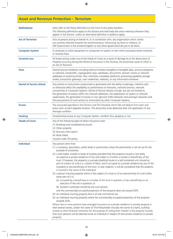## **Asset and Revenue Protection – Terrorism**

| <b>Definitions</b>              | (Also refer to the Policy Definitions at the front of this policy booklet.)<br>The following definitions apply to this Section and shall keep the same meaning wherever they<br>appear in the Section, unless an alternative definition is stated to apply.                                                                                                                                                                                                                                                                                                                                                                                                                                                                                                                                                                                                                                                                                                                                                                                                                                                                                                                                                                                                                                                                                                                                                                                                                                                                                                                                                                                                                                                                                                                 |  |  |  |  |
|---------------------------------|-----------------------------------------------------------------------------------------------------------------------------------------------------------------------------------------------------------------------------------------------------------------------------------------------------------------------------------------------------------------------------------------------------------------------------------------------------------------------------------------------------------------------------------------------------------------------------------------------------------------------------------------------------------------------------------------------------------------------------------------------------------------------------------------------------------------------------------------------------------------------------------------------------------------------------------------------------------------------------------------------------------------------------------------------------------------------------------------------------------------------------------------------------------------------------------------------------------------------------------------------------------------------------------------------------------------------------------------------------------------------------------------------------------------------------------------------------------------------------------------------------------------------------------------------------------------------------------------------------------------------------------------------------------------------------------------------------------------------------------------------------------------------------|--|--|--|--|
| <b>Act of Terrorism</b>         | Acts of persons acting on behalf of, or in connection with, any organisation which carries<br>out activities directed towards the overthrowing or influencing, by force or violence, of<br>HM Government in the United Kingdom or any other government de jure or de facto.                                                                                                                                                                                                                                                                                                                                                                                                                                                                                                                                                                                                                                                                                                                                                                                                                                                                                                                                                                                                                                                                                                                                                                                                                                                                                                                                                                                                                                                                                                 |  |  |  |  |
| <b>Computer System</b>          | A computer or other equipment or component or system or item which processes stores transmits<br>or receives Data.                                                                                                                                                                                                                                                                                                                                                                                                                                                                                                                                                                                                                                                                                                                                                                                                                                                                                                                                                                                                                                                                                                                                                                                                                                                                                                                                                                                                                                                                                                                                                                                                                                                          |  |  |  |  |
| <b>Covered Loss</b>             | All losses arising under any of the Heads of Cover as a result of damage to or the destruction of<br>Property occurring during the Period of Insurance in the Territory, the proximate cause of which is<br>an Act of Terrorism.                                                                                                                                                                                                                                                                                                                                                                                                                                                                                                                                                                                                                                                                                                                                                                                                                                                                                                                                                                                                                                                                                                                                                                                                                                                                                                                                                                                                                                                                                                                                            |  |  |  |  |
| <b>Data</b>                     | Data of any sort whatever, including without limitation tangible or intangible data, and any programs<br>or software, bandwidth, cryptographic keys, databases, documents, domain names or network<br>addresses or anything similar, files, interfaces, metadata, platforms, processing capability, storage<br>media, transaction gateways, user credentials, websites, or any information whatever.                                                                                                                                                                                                                                                                                                                                                                                                                                                                                                                                                                                                                                                                                                                                                                                                                                                                                                                                                                                                                                                                                                                                                                                                                                                                                                                                                                        |  |  |  |  |
| <b>Denial of Service Attack</b> | Any actions or instructions constructed or generated with the ability to damage, interfere with<br>or otherwise affect the availability or performance of networks, network services, network<br>connectivity or Computer Systems. Denial of Service Attacks include, but are not limited to,<br>the generation of excess traffic into network addresses, the exploitation of system or network<br>weaknesses, the generation of excess or non-genuine traffic between and amongst networks and<br>the procurement of such actions or instructions by other Computer Systems.                                                                                                                                                                                                                                                                                                                                                                                                                                                                                                                                                                                                                                                                                                                                                                                                                                                                                                                                                                                                                                                                                                                                                                                               |  |  |  |  |
| <b>Excess</b>                   | The amount(s) specified in this Section and The Schedule which We will deduct from each and<br>every claim at each separate location. The amount(s) to be deducted after the application of any<br>Average condition.                                                                                                                                                                                                                                                                                                                                                                                                                                                                                                                                                                                                                                                                                                                                                                                                                                                                                                                                                                                                                                                                                                                                                                                                                                                                                                                                                                                                                                                                                                                                                       |  |  |  |  |
| <b>Hacking</b>                  | Unauthorised access to any Computer System, whether Your property or not.                                                                                                                                                                                                                                                                                                                                                                                                                                                                                                                                                                                                                                                                                                                                                                                                                                                                                                                                                                                                                                                                                                                                                                                                                                                                                                                                                                                                                                                                                                                                                                                                                                                                                                   |  |  |  |  |
| <b>Heads of Cover</b>           | Any of the following types of direct insurance cover<br>(1) Buildings and completed structures<br>(2) Other property<br>(3) Business Interruption<br>(4) Book Debts<br>insured under this policy.                                                                                                                                                                                                                                                                                                                                                                                                                                                                                                                                                                                                                                                                                                                                                                                                                                                                                                                                                                                                                                                                                                                                                                                                                                                                                                                                                                                                                                                                                                                                                                           |  |  |  |  |
| <b>Individual</b>               | Any person other than<br>(1) a company, association, public body or partnership unless the partnership is not set up for the<br>purpose of a business<br>(2) a sole trader, trustee or body of trustees provided that the property insured is not solely<br>occupied as a private residence of the sole trader or of either a trustee or beneficiary of the<br>trust. If however, the property is a private dwelling house or a self-contained unit insured as<br>part of a block of units (i.e. a block of flats), and is occupied as a private residence by any of the<br>trustee(s) or any beneficiary of the trust, or sole trader(s), it will be considered that the property<br>is insured in the name of the individual<br>(3) a person insuring property which is the subject of a trust or of an executorship of a will unless<br>some part of it is:<br>(a) occupied by a beneficiary or a trustee of the trust in question, or by a beneficiary or an<br>executor of the will in question; or<br>(b) located in premises owned by any such person,<br>and the commercially occupied proportion of the property does not exceed 20%<br>(4) an individual insuring property that is of sole commercial use<br>(5) an individual insuring property where the commercially occupied proportion of the property<br>exceeds 20%.<br>Where two or more persons have arranged insurance on a private residence or private property in<br>their several names, and/or the name of The Policyholder includes the name of a bank, building<br>society or other financial institution for the purpose of noting their interest in the property insured,<br>then such persons will be deemed to be an Individual in respect of that private residence or private<br>property. |  |  |  |  |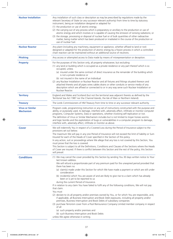| <b>Nuclear Installation</b>                                    | Any installation of such class or description as may be prescribed by regulations made by the<br>relevant Secretary of State (or any successor relevant authority) from time to time by statutory<br>instrument, being an installation designed or adapted for<br>(1) the production or use of atomic energy;<br>(2) the carrying out of any process which is preparatory or ancillary to the production or use of<br>atomic energy and which involves or is capable of causing the emission of ionising radiations; or<br>(3) the storage, processing or disposal of nuclear fuel or of bulk quantities of other radioactive<br>matter, being matter which has been produced or irradiated in the course of the production or<br>use of nuclear fuel.                                                                                                                                                                                                                                                                                                                                                                                                                                                                           |
|----------------------------------------------------------------|----------------------------------------------------------------------------------------------------------------------------------------------------------------------------------------------------------------------------------------------------------------------------------------------------------------------------------------------------------------------------------------------------------------------------------------------------------------------------------------------------------------------------------------------------------------------------------------------------------------------------------------------------------------------------------------------------------------------------------------------------------------------------------------------------------------------------------------------------------------------------------------------------------------------------------------------------------------------------------------------------------------------------------------------------------------------------------------------------------------------------------------------------------------------------------------------------------------------------------|
| <b>Nuclear Reactor</b>                                         | Any plant (including any machinery, equipment or appliance, whether affixed to land or not)<br>designed or adapted for the production of atomic energy by a fission process in which a controlled<br>chain reaction can be maintained without an additional source of neutrons.                                                                                                                                                                                                                                                                                                                                                                                                                                                                                                                                                                                                                                                                                                                                                                                                                                                                                                                                                  |
| <b>Phishing</b>                                                | Any access or attempted access to Data made by means of misrepresentation or deception.                                                                                                                                                                                                                                                                                                                                                                                                                                                                                                                                                                                                                                                                                                                                                                                                                                                                                                                                                                                                                                                                                                                                          |
| <b>Property</b>                                                | For the purposes of this Section only, all property whatsoever, but excluding:<br>(1) any land or building which is occupied as a private residence or any part thereof which is so<br>occupied, unless<br>(a) insured under the same contract of direct insurance as the remainder of the building which<br>is not a private residence or<br>(b) not insured in the name of an Individual<br>(2) any Nuclear Installation or Nuclear Reactor and all fixtures and fittings situated thereon and<br>attached thereto and all pipes wires cables drains or other conduits or service media of any<br>description which are affixed or connected to or in any way serve such Nuclear Installation or<br>Nuclear Reactor.                                                                                                                                                                                                                                                                                                                                                                                                                                                                                                           |
| <b>Territory</b>                                               | England and Wales and Scotland (but not the territorial seas adjacent thereto as defined by the<br>Territorial Sea Act 1987 nor the Channel Islands, the Isle of Man or Northern Ireland).                                                                                                                                                                                                                                                                                                                                                                                                                                                                                                                                                                                                                                                                                                                                                                                                                                                                                                                                                                                                                                       |
|                                                                | The Lords Commissioners of HM Treasury from time to time or any successor relevant authority.                                                                                                                                                                                                                                                                                                                                                                                                                                                                                                                                                                                                                                                                                                                                                                                                                                                                                                                                                                                                                                                                                                                                    |
| <b>Treasury</b><br><b>Virus or Similar</b><br><b>Mechanism</b> | Program code, programming instruction or any set of instructions constructed with the purpose and<br>ability, or purposely used, to damage, interfere with, adversely affect, infiltrate or monitor computer<br>programs, Computer Systems, Data or operations, whether involving self-replication or not.<br>The definition of Virus or Similar Mechanism includes but is not limited to trojan horses worms<br>and logic bombs and the exploitation of bugs or vulnerabilities in a computer program to damage,<br>interfere with, adversely affect, infiltrate or monitor as above.                                                                                                                                                                                                                                                                                                                                                                                                                                                                                                                                                                                                                                           |
| <b>Cover</b>                                                   | We will indemnify You in respect of a Covered Loss during the Period of Insurance subject to the<br>provisions set out below.<br>The maximum We will pay in any one Period of Insurance will not exceed the limit of liability or Sum<br>Insured for each of the Heads of Cover specified in the Section of this policy.<br>In any action, suit or proceedings where We allege that any loss is not covered by this Section, You<br>must prove that the loss is covered.<br>This Section is subject to all the Definitions, Conditions and Clauses of the Sections where the Heads<br>of Cover are insured. If there is conflict between this Section and the rest of the policy, this Section<br>will prevail.                                                                                                                                                                                                                                                                                                                                                                                                                                                                                                                  |
| <b>Conditions</b>                                              | (1) We may cancel the cover provided by this Section by sending You 30 days written notice to Your<br>last known address.<br>We will refund a proportionate part of any premium paid for the unexpired period provided that<br>there has been no<br>(a) claim(s) made under this Section for which We have made a payment or which are still under<br>consideration<br>(b) incident(s) which You are aware of and are likely to give rise to a claim which has already<br>been or is yet to be reported to us<br>during the current Period of Insurance.<br>If in relation to any claim You have failed to fulfil any of the following conditions, We will not pay<br>that claim.<br>You must<br>(2) declare to Us all property and/or premises owned by You, or for which You are responsible, and,<br>if applicable, all Business Interruption and Book Debt exposures, including all property and/or<br>premises, Business Interruption and Book Debts of subsidiary companies<br>(3) purchase Terrorism cover from a Pool Reinsurance Company Limited member company in respect<br>of all<br>(a) such property and/or premises and<br>(b) such Business Interruption and Book Debts<br>unless We agree otherwise in writing. |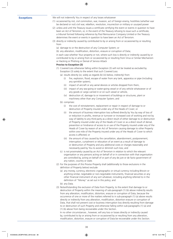**Exceptions** We will not indemnify You in respect of any losses whatsoever

- (1) occasioned by riot, civil commotion, war, invasion, act of foreign enemy, hostilities (whether war be declared or not) civil war, rebellion, revolution, insurrection or military or usurped power
- (2) unless and until the Treasury issues a certificate certifying the event or events in question to have been an Act of Terrorism, or, in the event of the Treasury refusing to issue such a certificate, a tribunal formed following reference by Pool Reinsurance Company Limited or the Treasury determines the event or events in question to have been an Act of Terrorism.
- (3) directly or indirectly caused by contributed to by or arising from or occasioned by or resulting from
	- (a) damage to or the destruction of any Computer System; or
	- (b) any alteration, modification, distortion, erasure or corruption of Data;

in each case whether Your property or not, where such loss is directly or indirectly caused by or contributed to by or arising from or occasioned by or resulting from Virus or Similar Mechanism or Hacking or Phishing or Denial of Service Attack

#### **Proviso to Exception (3)**

- (1) Covered Loss otherwise falling within Exception (3) will not be treated as excluded by Exception (3) solely to the extent that such Covered Loss:
	- (a) results directly (or, solely as regards (b) (iii) below, indirectly) from
		- (i) fire, explosion, flood, escape of water from any tank, apparatus or pipe (including any sprinkler system),
		- (ii) impact of aircraft or any aerial devices or articles dropped from them,
		- (iii) impact of any sea-going or water-going vessel or of any vehicle whatsoever or of any goods or cargo carried in or on such vessel or vehicle,
		- (iv) destruction of, damage to or movement of buildings or structures, plant or machinery other than any Computer System; and
	- (b) comprises:
		- (i) the cost of reinstatement, replacement or repair in respect of damage to or destruction of Property insured under any of the Heads of Cover; or
		- (ii) the amount of business interruption loss suffered directly by You by way of loss of or reduction in profits, revenue or turnover or increased cost of working and not by way of liability to any third party as a direct result of either damage to or destruction of Property insured under any of the Heads of Cover or as a direct result of denial, prevention or hindrance of access to or use of the Property insured under any of the Heads of Cover by reason of an Act of Terrorism causing damage to other Property within one mile of the Property insured under any of the Heads of Cover to which access is affected; or
		- (iii) the amount of loss caused by the cancellation, abandonment, postponement, interruption, curtailment or relocation of an event as a result of damage to or destruction of Property and any additional costs or charges reasonably and necessarily paid by You to avoid or diminish such loss; and
	- (c) is not proximately caused by an Act of Terrorism in relation to which the relevant organisation or any persons acting on behalf of or in connection with that organisation are controlled by, acting on behalf of or part of any de jure or de facto government of any nation, country or state.
- (2) For the purposes of this Proviso Property shall (additionally to those exclusions in the definition of Property below) exclude
	- (a) any money, currency, electronic cryptographic or virtual currency including Bitcoin or anything similar, negotiable or non-negotiable instruments, financial securities or any other financial instrument of any sort whatever, including anything referred to in the definition of "Money" as set out in this policy; and
	- (b) any Data.
- (3) Notwithstanding the exclusion of Data from Property, to the extent that damage to or destruction of Property within the meaning of sub-paragraph (1) (b) above indirectly results from any alteration, modification, distortion, erasure or corruption of Data, because the occurrence of one or more of the matters referred to in sub-paragraph (1) (a) above results directly or indirectly from any alteration, modification, distortion erasure or corruption of Data, that shall not prevent cost or business interruption loss directly resulting from damage to or destruction of such Property and otherwise falling within sub-paragraphs (1) (a) and (1) (b) above from being recoverable under this Section.

In no other circumstances , however, will any loss or losses directly or indirectly caused by, contributed to by or arising from or occasioned by or resulting from any alteration, modification, distortion, erasure or corruption of Data be recoverable under this Section.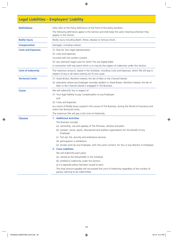# **Legal Liabilities – Employers' Liability**

| <b>Definitions</b>        | (Also refer to the Policy Definitions at the front of this policy booklet.)                                                                                  |  |  |  |  |
|---------------------------|--------------------------------------------------------------------------------------------------------------------------------------------------------------|--|--|--|--|
|                           | The following definitions apply to this Section and shall keep the same meaning wherever they<br>appear in the Section.                                      |  |  |  |  |
| <b>Bodily Injury</b>      | Bodily injury including death, illness, disease or nervous shock.                                                                                            |  |  |  |  |
| <b>Compensation</b>       | Damages, including interest.                                                                                                                                 |  |  |  |  |
| <b>Costs and Expenses</b> | (1) Fees for Your legal representation                                                                                                                       |  |  |  |  |
|                           | (2) costs and expenses                                                                                                                                       |  |  |  |  |
|                           | incurred with Our written consent                                                                                                                            |  |  |  |  |
|                           | (3) any claimant's legal costs for which You are legally liable                                                                                              |  |  |  |  |
|                           | in connection with any event which is or may be the subject of indemnity under this Section.                                                                 |  |  |  |  |
| <b>Limit of Indemnity</b> | The maximum amount, stated in the Schedule, including Costs and Expenses, which We will pay in<br>respect of any or all claims arising out of one cause.     |  |  |  |  |
| <b>Territorial Limits</b> | (1) Great Britain, Northern Ireland, the Isle of Man or the Channel Islands                                                                                  |  |  |  |  |
|                           | (2) elsewhere where any Employee normally resident in Great Britain, Northern Ireland, the Isle of<br>Man or the Channel Islands is engaged in The Business. |  |  |  |  |
| <b>Cover</b>              | We will indemnify You in respect of                                                                                                                          |  |  |  |  |
|                           | (1) Your legal liability to pay Compensation to any Employee                                                                                                 |  |  |  |  |
|                           | and                                                                                                                                                          |  |  |  |  |
|                           | (2) Costs and Expenses                                                                                                                                       |  |  |  |  |
|                           | as a result of Bodily Injury caused in the course of The Business, during the Period of Insurance and<br>within the Territorial Limits.                      |  |  |  |  |
|                           | The maximum We will pay is the Limit of Indemnity.                                                                                                           |  |  |  |  |
| <b>Clauses</b>            | <b>1. Additional Activities</b>                                                                                                                              |  |  |  |  |
|                           | The Business includes                                                                                                                                        |  |  |  |  |
|                           | (a) ownership, use and upkeep of The Premises, vehicles and plant                                                                                            |  |  |  |  |
|                           | (b) canteen, social, sports, educational and welfare organisations for the benefit of any<br>Employee                                                        |  |  |  |  |
|                           | (c) first aid, fire, security and ambulance services                                                                                                         |  |  |  |  |
|                           | (d) participation in exhibitions                                                                                                                             |  |  |  |  |
|                           | (e) private work by any Employee, with Your prior consent, for You or any director or Employee.                                                              |  |  |  |  |
|                           | 2. Cross Liabilities                                                                                                                                         |  |  |  |  |
|                           | We will indemnify each party                                                                                                                                 |  |  |  |  |
|                           | (a) named as the Policyholder in the Schedule                                                                                                                |  |  |  |  |
|                           | (b) entitled to indemnity under this Section                                                                                                                 |  |  |  |  |
|                           | as if a separate policy had been issued to each.                                                                                                             |  |  |  |  |
|                           | The total amount payable will not exceed the Limit of Indemnity regardless of the number of<br>parties claiming to be indemnified.                           |  |  |  |  |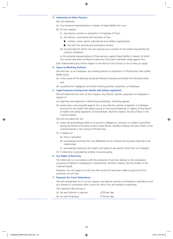#### **3. Indemnity to Other Persons**

We will indemnify

- (a) Your personal representatives in respect of legal liability You incur
- (b) At Your request
	- (i) any director, partner or proprietor or Employee of Yours
	- (ii) the officers, committees and members of Your
		- $\Box$  canteen, social, sports, educational and welfare organisations
		- $\blacksquare$  first aid, fire, security and ambulance services
	- (iii) any principal for whom You are carrying out a contract to the extent required by the contract conditions

or the personal representatives of these persons against legal liability in respect of which You would have been entitled to indemnity if the claim had been made against You.

Each indemnified party will be subject to the terms of this Section so far as they can apply.

### **4. Injury to Working Partners**

We will treat, as an Employee, any working partner or proprietor of The Business who suffers Bodily Injury

- (a) in the course of The Business during the Period of Insurance and within the Territorial Limits and
- (b) caused by the negligence of another working partner, proprietor, or Employee.

#### **5. Legal Expenses Arising from Health and Safety Legislation**

We will indemnify You and, at Your request, any director, partner, proprietor or Employee in respect of

- (a) legal fees and expenses in defending proceedings, including appeals
- (b) prosecution costs awarded against You or any director, partner, proprietor or Employee arising from any health and safety inquiry or criminal proceedings in respect of any breach of health and safety legislation of Great Britain, Northern Ireland, the Isle of Man or the Channel Islands.

We will not indemnify You

- (1) unless the proceedings relate to an actual or alleged act, omission or incident committed during the Period of Insurance within Great Britain, Northern Ireland, the Isle of Man or the Channel Islands in the course of The Business
- (2) in respect of
	- (a) fines or penalties
	- (b) proceedings resulting from any deliberate act or omission by any party claiming to be indemnified
	- (c) proceedings relating to the health and safety of any person other than an Employee
- (3) if indemnity is provided by another insurance policy.

#### **6. Our Right of Recovery**

The indemnity is in accordance with the provisions of any law relating to the compulsory insurance of liability to employees in Great Britain, Northern Ireland, the Isle of Man or the Channel Islands.

However, You will repay to Us all sums We would not have been liable to pay but for the provisions of such law.

#### **7. Payment for Court Attendance**

We will compensate You if, at Our request, any director, partner or Employee is attending court as a witness in connection with a claim for which You are entitled to indemnity.

The maximum We will pay is

| (a) for each director or partner | £250 per day  |
|----------------------------------|---------------|
| (b) for each Employee            | £150 per day. |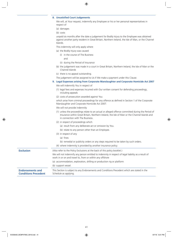#### **8. Unsatisfied Court Judgements**

We will, at Your request, indemnify any Employee or his or her personal representatives in respect of

- (a) damages
- (b) costs

unpaid six months after the date a judgement for Bodily Injury to the Employee was obtained against another party resident in Great Britain, Northern Ireland, the Isle of Man, or the Channel Islands.

This indemnity will only apply where

- (a) the Bodily Injury was caused
	- (i) in the course of The Business and
		-
	- (ii) during the Period of Insurance
- (b) the judgement was made in a court in Great Britain, Northern Ireland, the Isle of Man or the Channel Islands
- (c) there is no appeal outstanding.
- The judgement will be assigned to Us if We make a payment under this Clause.
- **9. Legal Expenses arising from Corporate Manslaughter and Corporate Homicide Act 2007**

We will indemnify You in respect of

(1) legal fees and expenses incurred with Our written consent for defending proceedings, including appeals

(2) costs of prosecution awarded against You

which arise from criminal proceedings for any offence as defined in Section 1 of the Corporate Manslaughter and Corporate Homicide Act 2007.

We will not provide indemnity

- (1) unless the proceedings relate to an actual or alleged offence committed during the Period of Insurance within Great Britain, Northern Ireland, the Isle of Man or the Channel Islands and in connection with The Business.
- (2) in respect of proceedings which
	- (a) result from any deliberate act or omission by You.
	- (b) relate to any person other than an Employee.
- (3) in respect of any
	- (a) fines
	- (b) remedial or publicity orders or any steps required to be taken by such orders.
- (4) where indemnity is provided by another insurance policy.

| <b>Exclusion</b>                                       | (Also refer to the Policy Exclusions at the back of this policy booklet.)                                                                                       |  |  |  |
|--------------------------------------------------------|-----------------------------------------------------------------------------------------------------------------------------------------------------------------|--|--|--|
|                                                        | We will not indemnify any person entitled to indemnity in respect of legal liability as a result of<br>work in or on and travel to, from or within any offshore |  |  |  |
|                                                        | (a) accommodation, exploration, drilling or production rig or platform                                                                                          |  |  |  |
|                                                        | (b) support vessel.                                                                                                                                             |  |  |  |
| <b>Endorsements and</b><br><b>Conditions Precedent</b> | This Section is subject to any Endorsements and Conditions Precedent which are stated in the<br>Schedule as applying.                                           |  |  |  |
|                                                        |                                                                                                                                                                 |  |  |  |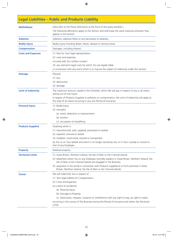## **Legal Liabilities – Public and Products Liability**

| <b>Definitions</b>        | (Also refer to the Policy Definitions at the front of this policy booklet.)<br>The following definitions apply to this Section and shall keep the same meaning wherever they<br>appear in the Section. |  |  |  |  |
|---------------------------|--------------------------------------------------------------------------------------------------------------------------------------------------------------------------------------------------------|--|--|--|--|
| <b>Asbestos</b>           | Asbestos, asbestos fibres or any derivatives of asbestos.                                                                                                                                              |  |  |  |  |
| <b>Bodily Injury</b>      | Bodily injury including death, illness, disease or nervous shock.                                                                                                                                      |  |  |  |  |
| <b>Compensation</b>       | Damages, including interest.                                                                                                                                                                           |  |  |  |  |
| <b>Costs and Expenses</b> | (1) Fees for Your legal representation                                                                                                                                                                 |  |  |  |  |
|                           | (2) costs and expenses                                                                                                                                                                                 |  |  |  |  |
|                           | incurred with Our written consent                                                                                                                                                                      |  |  |  |  |
|                           | (3) any claimant's legal costs for which You are legally liable                                                                                                                                        |  |  |  |  |
|                           | in connection with any event which is or may be the subject of indemnity under this Section.                                                                                                           |  |  |  |  |
| <b>Damage</b>             | Physical                                                                                                                                                                                               |  |  |  |  |
|                           | $(1)$ loss                                                                                                                                                                                             |  |  |  |  |
|                           | (2) destruction                                                                                                                                                                                        |  |  |  |  |
|                           | (3) damage.                                                                                                                                                                                            |  |  |  |  |
| <b>Limit of Indemnity</b> | The maximum amount, stated in the Schedule, which We will pay in respect of any or all claims<br>arising out of one cause.                                                                             |  |  |  |  |
|                           | In respect of Products Supplied or pollution or contamination, the Limit of Indemnity will apply to<br>the total of all claims occurring in any one Period of Insurance.                               |  |  |  |  |
| <b>Personal Injury</b>    | (1) Bodily Injury                                                                                                                                                                                      |  |  |  |  |
|                           | (2) wrongful                                                                                                                                                                                           |  |  |  |  |
|                           | (a) arrest, detention or imprisonment                                                                                                                                                                  |  |  |  |  |
|                           | (b) eviction                                                                                                                                                                                           |  |  |  |  |
|                           | (c) accusation of shoplifting.                                                                                                                                                                         |  |  |  |  |
| <b>Products Supplied</b>  | Anything which is                                                                                                                                                                                      |  |  |  |  |
|                           | (1) manufactured, sold, supplied, processed or treated                                                                                                                                                 |  |  |  |  |
|                           | (2) repaired, serviced or tested                                                                                                                                                                       |  |  |  |  |
|                           | (3) installed, constructed, erected or transported                                                                                                                                                     |  |  |  |  |
|                           | by You or on Your behalf and which is no longer owned by You or in Your custody or control or<br>that of any Employee.                                                                                 |  |  |  |  |
| <b>Property</b>           | Material property.                                                                                                                                                                                     |  |  |  |  |
| <b>Territorial Limits</b> | (1) Great Britain, Northern Ireland, the Isle of Man or the Channel Islands.                                                                                                                           |  |  |  |  |
|                           | (2) elsewhere where You or any Employee normally resident in Great Britain, Northern Ireland, the<br>Isle of Man or the Channel Islands are engaged in The Business.                                   |  |  |  |  |
|                           | (3) anywhere in the world in connection with Products Supplied at or from premises in Great<br>Britain, Northern Ireland, the Isle of Man or the Channel Islands.                                      |  |  |  |  |
| <b>Cover</b>              | We will indemnify You in respect of                                                                                                                                                                    |  |  |  |  |
|                           | (1) Your legal liability for Compensation                                                                                                                                                              |  |  |  |  |
|                           | (2) Costs and Expenses                                                                                                                                                                                 |  |  |  |  |
|                           | as a result of accidental                                                                                                                                                                              |  |  |  |  |
|                           | (a) Personal Injury                                                                                                                                                                                    |  |  |  |  |
|                           | (b) Damage to Property                                                                                                                                                                                 |  |  |  |  |
|                           | (c) obstruction, trespass, nuisance or interference with any right of way, air, light or water                                                                                                         |  |  |  |  |
|                           | occurring in the course of The Business during the Period of Insurance and within the Territorial<br>Limits.                                                                                           |  |  |  |  |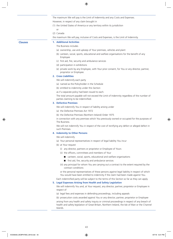The maximum We will pay is the Limit of Indemnity and any Costs and Expenses. However, in respect of any claim brought in

(1) the United States of America or any territory within its jurisdiction

- or
- (2) Canada

the maximum We will pay, inclusive of Costs and Expenses, is the Limit of Indemnity.

#### **Clauses 1. Additional Activities**

The Business includes

- (a) ownership, use and upkeep of Your premises, vehicles and plant
- (b) canteen, social, sports, educational and welfare organisations for the benefit of any Employee
- (c) first aid, fire, security and ambulance services
- (d) participation in exhibitions
- (e) private work by any Employee, with Your prior consent, for You or any director, partner, proprietor or Employee.

#### **2. Cross Liabilities**

We will indemnify each party

- (a) named as the Policyholder in the Schedule
- (b) entitled to indemnity under this Section

as if a separate policy had been issued to each.

The total amount payable will not exceed the Limit of Indemnity regardless of the number of parties claiming to be indemnified.

#### **3. Defective Premises**

We will indemnify You in respect of liability arising under

- (a) the Defective Premises Act 1972
- (b) the Defective Premises (Northern Ireland) Order 1975

in connection with any premises which You previously owned or occupied for the purposes of The Business.

We will not indemnify You in respect of the cost of rectifying any defect or alleged defect in such Premises.

#### **4. Indemnity to Other Persons**

We will indemnify

- (a) Your personal representatives in respect of legal liability You incur
- (b) at Your request
	- (i) any director, partners or proprietor or Employee of Yours
	- (ii) the officers, committees and members of Your
		- canteen, social, sports, educational and welfare organisations
		- $\blacksquare$  first aid, fire, security and ambulance services
	- (iii) any principal for whom You are carrying out a contract to the extent required by the contract conditions

or the personal representatives of these persons against legal liability in respect of which You would have been entitled to indemnity if the claim had been made against You.

Each indemnified party will be subject to the terms of this Section so far as they can apply.

#### **5. Legal Expenses Arising from Health and Safety Legislation**

We will indemnify You and, at Your request, any director, partner, proprietor or Employee in respect of

(a) legal fees and expenses in defending proceedings, including appeals

(b) prosecution costs awarded against You or any director, partner, proprietor or Employee

arising from any health and safety inquiry or criminal proceedings in respect of any breach of health and safety legislation of Great Britain, Northern Ireland, the Isle of Man or the Channel Islands.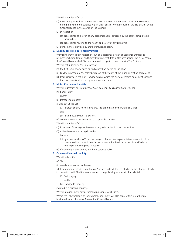We will not indemnify You

- (1) unless the proceedings relate to an actual or alleged act, omission or incident committed during the Period of Insurance within Great Britain, Northern Ireland, the Isle of Man or the Channel Islands in the course of The Business
- (2) in respect of
	- (a) proceedings as a result of any deliberate act or omission by the party claiming to be indemnified
	- (b) proceedings relating to the health and safety of any Employee
- (3) if indemnity is provided by another insurance policy.

#### **6. Liability for Hired or Rented Premises**

We will indemnify You in respect of Your legal liability as a result of accidental Damage to premises (including fixtures and fittings) within Great Britain, Northern Ireland, the Isle of Man or the Channel Islands which You hire, rent and occupy in connection with The Business.

We will not indemnify You in respect of

- (a) the first £250 of any claim caused other than by fire or explosion
- (b) liability imposed on You solely by reason of the terms of the hiring or renting agreement
- (c) legal liability as a result of Damage against which the hiring or renting agreement specifies that insurance is taken out by You or on Your behalf.

#### **7. Motor Contingent Liability**

We will indemnify You in respect of Your legal liability as a result of accidental

- (a) Bodily Injury
	- and/or
- (b) Damage to property

arising out of the Use

(i) in Great Britain, Northern Ireland, the Isle of Man or the Channel Islands

and

(ii) in connection with The Business

of any motor vehicle not belonging to or provided by You.

We will not indemnify You

- (1) in respect of Damage to the vehicle or goods carried in or on the vehicle
- (2) while the vehicle is being driven by
	- (a) You
	- (b) by a person who to Your knowledge or that of Your representatives does not hold a licence to drive the vehicle unless such person has held and is not disqualified from holding or obtaining such a licence
- (3) if indemnity is provided by another insurance policy.

### **8. Overseas Personal Liability**

We will indemnify

- (a) You
- (b) any director, partner or Employee

while temporarily outside Great Britain, Northern Ireland, the Isle of Man or the Channel Islands in connection with The Business in respect of legal liability as a result of accidental

- (i) Bodily Injury
	- and/or
- (ii) Damage to Property

incurred in a personal capacity.

We will also indemnify any accompanying spouse or children.

Where the Policyholder is an individual the indemnity will also apply within Great Britain, Northern Ireland, the Isle of Man or the Channel Islands.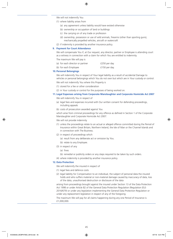We will not indemnify You

- (1) where liability arises from
	- (a) any agreement unless liability would have existed otherwise
	- (b) ownership or occupation of land or buildings
	- (c) the carrying on of any trade or profession
	- (d) ownership, possession or use of wild animals, firearms (other than sporting guns), mechanically propelled vehicles, aircraft or watercraft
- (2) if indemnity is provided by another insurance policy.

#### **9. Payment for Court Attendance**

We will compensate You if, at Our request, any director, partner or Employee is attending court as a witness in connection with a claim for which You are entitled to indemnity.

The maximum We will pay is

| (a) for each director or partner | £250 per day  |  |
|----------------------------------|---------------|--|
| (b) for each Employee            | £150 per day. |  |

#### **10. Personal Belongings**

We will indemnify You in respect of Your legal liability as a result of accidental Damage to vehicles or personal belongings which You do not own but which are in Your custody or control.

We will not indemnify You where this Property is

- (1) stored for a fee or other consideration
- (2) in Your custody or control for the purposes of being worked on.

#### **11. Legal Expenses arising from Corporate Manslaughter and Corporate Homicide Act 2007**

We will indemnify You in respect of

- (a) legal fees and expenses incurred with Our written consent for defending proceedings, including appeals
- (b) costs of prosecution awarded against You

which arise from criminal proceedings for any offence as defined in Section 1 of the Corporate Manslaughter and Corporate Homicide Act 2007.

We will not provide indemnity

- (1) unless the proceedings relate to an actual or alleged offence committed during the Period of Insurance within Great Britain, Northern Ireland, the Isle of Man or the Channel Islands and in connection with The Business.
- (2) in respect of proceedings which
	- (a) result from any deliberate act or omission by You.
	- (b) relate to any Employee.
- (3) in respect of any
	- (a) fines
	- (b) remedial or publicity orders or any steps required to be taken by such orders.
- (4) where indemnity is provided by another insurance policy.

### **12. Data Protection**

We will indemnify the insured in respect of

- (1) legal fees and defence costs
- (2) legal liability for Compensation to an individual, the subject of personal data the insured holds and who suffers material or non-material damage caused by inaccuracy of data, loss of the data, unauthorised destruction or disclosure of the data

arising from proceedings brought against the insured under Section 13 of the Data Protection Act 1998 or under Article 82 of the General Data Protection Regulation (Regulation (EU) 2016/679) or under any legislation implementing the General Data Protection Regulation or under any replacement legislation in respect of any of the foregoing.

The maximum We will pay for all claims happening during any one Period of Insurance is £1,000,000.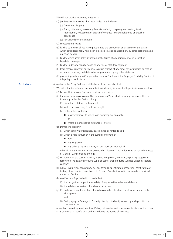We will not provide indemnity in respect of

- (1) (a) Personal Injury other than as provided by this clause
	- (b) Damage to Property
	- (c) fraud, dishonesty, insolvency, financial default, conspiracy, conversion, deceit, intimidation, inducement of breach of contract, injurious falsehood or breach of confidence
	- (d) libel, slander or defamation.
- (2) consequential losses.
- (3) liability as a result of You having authorised the destruction or disclosure of the data or which could reasonably have been expected to arise as a result of any other deliberate act or omission by You.
- (4) liability which arises solely by reason of the terms of any agreement or in respect of liquidated damages.
- (5) liability under any penalty clause or any fine or statutory payment.
- (6) legal costs or expenses or financial losses in respect of any order for rectification or erasure of data or requiring that data to be supplemented by any other statements.
- (7) proceedings relating to Compensation for any Employee if the Employers' Liability Section of this policy is not in force.

**Exclusions** (Also refer to the Policy Exclusions at the back of this policy booklet.)

- (1) We will not indemnify any person entitled to indemnity in respect of legal liability as a result of
	- (a) Personal Injury to an Employee, partner or proprietor.
	- (b) the ownership, possession or Use by You or on Your behalf or by any person entitled to indemnity under this Section of any
		- (i) aircraft, aerial device or hovercraft
		- (ii) watercraft exceeding 8 metres in length
		- (iii) motor vehicle or trailer
			- $\blacksquare$  in circumstances to which road traffic legislation applies
			- $\blacksquare$  where a more specific insurance is in force.
	- (c) Damage to Property

or

- (i) which You own or is loaned, leased, hired or rented to You
- (ii) which is held in trust or in the custody or control of
	- **n** You
	- any Employee
	- $\Box$  any other party who is carrying out work on Your behalf

other than in the circumstances described in Clause 6. Liability for Hired or Rented Premises or Clause 10. Personal Belongings.

- (d) Damage to or the cost incurred by anyone in repairing, removing, replacing, reapplying, rectifying or reinstating Products Supplied (other than Products Supplied under a separate contract)
- (e) advice, instruction, consultancy, design, formula, specification, inspection, certification or testing other than in connection with Products Supplied for which indemnity is provided under this Section
- (f) any Products Supplied which could affect
	- (i) the navigation, propulsion or safety of any aircraft or other aerial device
	- (ii) the safety or operation of nuclear installations
- (g) (i) pollution or contamination of buildings or other structures or of water or land or the atmosphere

and

(ii) Bodily Injury or Damage to Property directly or indirectly caused by such pollution or contamination

other than caused by a sudden, identifiable, unintended and unexpected incident which occurs in its entirety at a specific time and place during the Period of Insurance.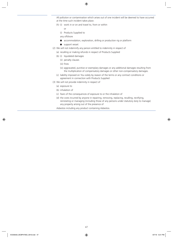All pollution or contamination which arises out of one incident will be deemed to have occurred at the time such incident takes place.

- (h) (i) work in or on and travel to, from or within
	- or
	- (i) Products Supplied to
	- any offshore
	- accommodation, exploration, drilling or production rig or platform
	- $\blacksquare$  support vessel.
- (2) We will not indemnify any person entitled to indemnity in respect of
	- (a) recalling or making refunds in respect of Products Supplied
	- (b) (i) liquidated damages
		- (ii) penalty clauses
		- (iii) fines
		- (iv) aggravated, punitive or exemplary damages or any additional damages resulting from the multiplication of compensatory damages or other non-compensatory damages.
	- (c) liability imposed on You solely by reason of the terms or any contract conditions or agreement in connection with Products Supplied
- (3) We will not provide indemnity in respect of
	- (a) exposure to
	- (b) inhalation of
	- (c) fears of the consequences of exposure to or the inhalation of
	- (d) the costs incurred by anyone in repairing, removing, replacing, recalling, rectifying, reinstating or managing (including those of any persons under statutory duty to manage) any property arising out of the presence of

Asbestos including any product containing Asbestos.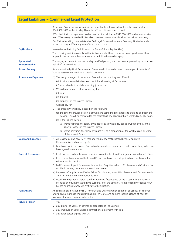# **Legal Liabilities – Commercial Legal Protection**

|                                           | As soon as You are aware of an incident, You should get legal advice from the legal helpline on<br>0345 300 1899 without delay. Please have Your policy number to hand.<br>If You think that You might need to claim, contact the helpline on 0345 300 1899 and request a claim<br>form. We can only proceed with Your claim once We have received details of the incident in writing. |  |  |  |
|-------------------------------------------|----------------------------------------------------------------------------------------------------------------------------------------------------------------------------------------------------------------------------------------------------------------------------------------------------------------------------------------------------------------------------------------|--|--|--|
|                                           | Our Claims handling is undertaken by DAS Legal Expenses Insurance Company Limited or such<br>other company as We notify You of from time to time.                                                                                                                                                                                                                                      |  |  |  |
| <b>Definitions</b>                        | (Also refer to the Policy Definitions at the front of this policy booklet.)                                                                                                                                                                                                                                                                                                            |  |  |  |
|                                           | The following definitions apply to this Section and shall keep the same meaning wherever they<br>appear in the section unless an alternative definition is stated to apply.                                                                                                                                                                                                            |  |  |  |
| <b>Appointed</b><br><b>Representative</b> | The lawyer, accountant or other suitably qualified person, who has been appointed by Us to act on<br>behalf of an Insured Person.                                                                                                                                                                                                                                                      |  |  |  |
| <b>Aspect Enquiry</b>                     | An examination by H.M. Revenue and Customs which considers one or more specific aspects of<br>Your self-assessment and/or corporation tax return.                                                                                                                                                                                                                                      |  |  |  |
| <b>Attendance Expenses</b>                | (1) The salary or wages of the Insured Person for the time they are off work                                                                                                                                                                                                                                                                                                           |  |  |  |
|                                           | (a) to attend any arbitration, court or tribunal hearing at Our request                                                                                                                                                                                                                                                                                                                |  |  |  |
|                                           | (b) as a defendant or while attending jury service.                                                                                                                                                                                                                                                                                                                                    |  |  |  |
|                                           | (2) We will pay for each half or whole day that the                                                                                                                                                                                                                                                                                                                                    |  |  |  |
|                                           | (a) court                                                                                                                                                                                                                                                                                                                                                                              |  |  |  |
|                                           | (b) tribunal                                                                                                                                                                                                                                                                                                                                                                           |  |  |  |
|                                           | (c) employer of the Insured Person                                                                                                                                                                                                                                                                                                                                                     |  |  |  |
|                                           | will not pay for.                                                                                                                                                                                                                                                                                                                                                                      |  |  |  |
|                                           | (3) The amount We will pay is based on the following<br>(a) the time the Insured Person is off work including the time it takes to travel to and from the                                                                                                                                                                                                                              |  |  |  |
|                                           | hearing. This will be calculated to the nearest half day assuming that a whole day is eight hours.<br>(b) if the Insured Person                                                                                                                                                                                                                                                        |  |  |  |
|                                           | (i) works full time, the salary or wages for each whole day equals 1/250th of the annual                                                                                                                                                                                                                                                                                               |  |  |  |
|                                           | salary or wages of the Insured Person.                                                                                                                                                                                                                                                                                                                                                 |  |  |  |
|                                           | (ii) works part-time, the salary or wages will be a proportion of the weekly salary or wages<br>of the Insured Person.                                                                                                                                                                                                                                                                 |  |  |  |
| <b>Costs and Expenses</b>                 | (1) All reasonable and necessary legal or accountancy costs charged by the Appointed<br>Representative and agreed by Us.                                                                                                                                                                                                                                                               |  |  |  |
|                                           | (2) Legal costs which an Insured Person has been ordered to pay by a court or other body which we<br>have agreed to authorise.                                                                                                                                                                                                                                                         |  |  |  |
| <b>Date of Occurrence</b>                 | (1) In all civil cases, when the cause of action accrued (other than Contingencies 4A, 4B or 4C - Tax).                                                                                                                                                                                                                                                                                |  |  |  |
|                                           | (2) In all criminal cases, when the Insured Person first broke or is alleged to have first broken the<br>criminal law in question.                                                                                                                                                                                                                                                     |  |  |  |
|                                           | (3) Full Enquiries, Aspect Enquiries or Intervention Enquiries, when H.M. Revenue and Customs first<br>notifies in writing the intention to make enquiries.                                                                                                                                                                                                                            |  |  |  |
|                                           | (4) Employers Compliance and Value Added Tax disputes, when H.M. Revenue and Customs sends<br>an assessment or written decision to You.                                                                                                                                                                                                                                                |  |  |  |
|                                           | (5) Licence or Registration Appeals, when You were first notified of the proposal by the relevant<br>licensing or regulatory authority to suspend, alter the terms of, refuse to renew or cancel Your<br>licence or British Standard Certificate of Registration.                                                                                                                      |  |  |  |
| <b>Full Enquiry</b>                       | An extensive examination by H.M. Revenue and Customs which considers all aspects of Your tax<br>affairs, excluding those enquiries which are limited to one or more specific aspects of Your self-<br>assessment and/or corporation tax return.                                                                                                                                        |  |  |  |
| <b>Insured Person</b>                     | $(1)$ You                                                                                                                                                                                                                                                                                                                                                                              |  |  |  |
|                                           | (2) any director of Yours, or partner, or proprietor of The Business                                                                                                                                                                                                                                                                                                                   |  |  |  |
|                                           | (3) any employee of Yours under a contract of employment with You                                                                                                                                                                                                                                                                                                                      |  |  |  |
|                                           | (4) any other person agreed with Us.                                                                                                                                                                                                                                                                                                                                                   |  |  |  |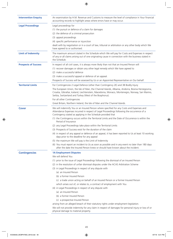| <b>Intervention Enquiry</b> | An examination by H.M. Revenue and Customs to measure the level of compliance in Your financial<br>accounting records to highlight areas where errors have or may occur.                                                                                     |  |  |  |
|-----------------------------|--------------------------------------------------------------------------------------------------------------------------------------------------------------------------------------------------------------------------------------------------------------|--|--|--|
| <b>Legal Proceedings</b>    | Legal proceedings for<br>(1) the pursuit or defence of a claim for damages                                                                                                                                                                                   |  |  |  |
|                             | (2) the defence of a criminal prosecution                                                                                                                                                                                                                    |  |  |  |
|                             | (3) appeal proceedings                                                                                                                                                                                                                                       |  |  |  |
|                             | (4) specific performance or injunction                                                                                                                                                                                                                       |  |  |  |
|                             | dealt with by negotiation or in a court of law, tribunal or arbitration or any other body which We                                                                                                                                                           |  |  |  |
|                             | have agreed to or authorised.                                                                                                                                                                                                                                |  |  |  |
| <b>Limit of Indemnity</b>   | The maximum amount stated in the Schedule which We will pay for Costs and Expenses in respect<br>of any or all claims arising out of one originating cause in connection with the business stated in<br>the Schedule.                                        |  |  |  |
| <b>Prospects of Success</b> | In respect of all civil cases, it is always more likely than not that an Insured Person will                                                                                                                                                                 |  |  |  |
|                             | (1) recover damages or obtain any other legal remedy which We have agreed to                                                                                                                                                                                 |  |  |  |
|                             | (2) make a successful defence                                                                                                                                                                                                                                |  |  |  |
|                             | (3) make a successful appeal or defence of an appeal.                                                                                                                                                                                                        |  |  |  |
|                             | Prospects of Success will be assessed by Us or an Appointed Representative on Our behalf.                                                                                                                                                                    |  |  |  |
| <b>Territorial Limits</b>   | For Contingencies 2 Legal Defence (other than Contingency 2E) and 3B Bodily Injury                                                                                                                                                                           |  |  |  |
|                             | The European Union, the Isle of Man, the Channel Islands, Albania, Andorra, Bosnia Herzegovina,<br>Croatia, Gibraltar, Iceland, Liechtenstein, Macedonia, Monaco, Montenegro, Norway, San Marino,<br>Serbia, Switzerland and Turkey (West of the Bosphorus). |  |  |  |
|                             | For all other Contingencies                                                                                                                                                                                                                                  |  |  |  |
|                             | Great Britain, Northern Ireland, the Isle of Man and the Channel Islands.                                                                                                                                                                                    |  |  |  |
| <b>Cover</b>                | We will indemnify You or an Insured Person where specified for any Costs and Expenses and<br>Attendance Expenses incurred in respect of Legal Proceedings following the occurrence of a<br>Contingency stated as applying in the Schedule provided that      |  |  |  |
|                             | (1) the Contingency occurs within the Territorial Limits and the Date of Occurrence is within the<br>Period of Insurance                                                                                                                                     |  |  |  |
|                             | (2) any Legal Proceedings take place within the Territorial Limits                                                                                                                                                                                           |  |  |  |
|                             | (3) Prospects of Success exist for the duration of the claim                                                                                                                                                                                                 |  |  |  |
|                             | (4) in respect of any appeal or defence of an appeal, it has been reported to Us at least 10 working<br>days prior to the deadline for any appeal                                                                                                            |  |  |  |
|                             | (5) the maximum We will pay is the Limit of Indemnity                                                                                                                                                                                                        |  |  |  |
|                             | (6) You must report an incident to Us as soon as possible and in any event no later than 180 days<br>after the date the Insured Person knew or should have known about the incident.                                                                         |  |  |  |
| <b>Contingencies</b>        | <b>1A Employment Disputes</b>                                                                                                                                                                                                                                |  |  |  |
|                             | We will defend You                                                                                                                                                                                                                                           |  |  |  |
|                             | (1) prior to the issue of Legal Proceedings following the dismissal of an Insured Person<br>(2) in the resolution of unfair dismissal disputes under the ACAS Arbitration Scheme                                                                             |  |  |  |
|                             | (3) in Legal Proceedings in respect of any dispute with                                                                                                                                                                                                      |  |  |  |
|                             | (a) an Insured Person                                                                                                                                                                                                                                        |  |  |  |
|                             | (b) a former Insured Person                                                                                                                                                                                                                                  |  |  |  |
|                             | (c) a trade union acting on behalf of an Insured Person or a former Insured Person                                                                                                                                                                           |  |  |  |
|                             | which arises out of, or relates to, a contract of employment with You                                                                                                                                                                                        |  |  |  |
|                             | (4) in Legal Proceedings in respect of any dispute with                                                                                                                                                                                                      |  |  |  |
|                             | (a) an Insured Person                                                                                                                                                                                                                                        |  |  |  |
|                             | (b) a former Insured Person                                                                                                                                                                                                                                  |  |  |  |
|                             | (c) a prospective Insured Person                                                                                                                                                                                                                             |  |  |  |
|                             | arising from an alleged breach of their statutory rights under employment legislation.                                                                                                                                                                       |  |  |  |
|                             | We will not provide indemnity for any claim in respect of damages for personal injury or loss of or<br>physical damage to material property.                                                                                                                 |  |  |  |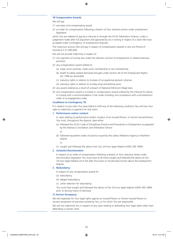#### **1B Compensation Awards**

We will pay

- (1) any basic and compensatory award
- (2) an order for compensation following a breach of Your statutory duties under employment legislation

which You are ordered to pay by a tribunal or through the ACAS Arbitration Scheme, under a judgement made after full argument and approved by Us in writing in respect of a claim We have accepted under Contingency 1A Employment Disputes.

The maximum amount We will pay in respect of compensation awards in any one Period of Insurance is £1,000,000.

We will not provide indemnity in respect of

- (1) non payment of money due under the relevant contract of employment or related statutory provision
- (2) any compensation award related to
	- (a) trade union activities, trade union membership or non-membership
	- (b) health & safety related dismissals brought under Section 44 of the Employment Rights Act 1996 (as amended)
	- (c) statutory rights in relation to trustees of occupational pension schemes
	- (d) statutory rights in relation to Sunday shop and betting work
- (3) any award ordered as a result of a breach of National Minimum Wage laws
- (4) any compensation award or increase in compensation award ordered by the tribunal for failure to comply with a recommendation it has made including non-compliance with a reinstatement order or re-engagement order.

#### **Conditions to Contingency 1B**

If in relation to any claim You have failed to fulfil any of the following conditions You will lose Your right to indemnity or payment for that claim.

#### **1. Performance and/or conduct**

In cases relating to performance and/or conduct of an Insured Person, or former Insured Person You must, throughout the dispute, have either

(a) followed the ACAS Code of Disciplinary Practice and Procedures in Employment as prepared by the Advisory Conciliation and Arbitration Service

or

(b) followed equivalent codes of practice issued by the Labour Relations Agency in Northern Ireland

or

(c) sought and followed the advice from Our 24 hour legal helpline (0345 300 1899).

#### **2. Unlawful Discrimination**

In respect of an order of compensation following a breach of Your statutory duties under discrimination legislation You must have at all times sought and followed the advice of Our 24 hour legal helpline since the date You knew or should have known about the employment dispute.

#### **3. Redundancy**

In respect of any compensation award for

- (a) redundancy
- (b) alleged redundancy
- (c) unfair selection for redundancy.

You must have sought and followed the advice of Our 24 hour legal helpline (0345 300 1899) prior to serving notice of dismissal.

#### **1C Service Occupancy**

We will negotiate for Your legal rights against an Insured Person or former Insured Person to recover possession of premises owned by You, or for which You are responsible.

We will not indemnify You in respect of any claim relating to defending Your legal rights other than defending a counter claim.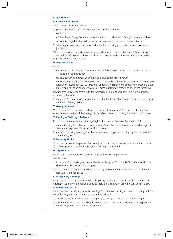#### **2 Legal Defence**

#### **2A Criminal Prosecution**

We will defend an Insured Person

- (1) prior to the issue of Legal Proceedings when dealing with the
	- (a) Police
	- (b) Health and Safety Executive and/or Local Authority Health and Safety Enforcement Officer
	- where it is alleged the Insured Person has or may have committed a criminal offence
- (2) following an event which leads to the Insured Person being prosecuted in a court of criminal jurisdiction.

We will not provide indemnity in respect of any claim which leads to the Insured Person being prosecuted for infringement of road traffic laws or regulations in connection with the ownership, driving or Use of a motor vehicle.

#### **2B Data Protection**

We will

- (1) (a) defend the legal rights of an Insured Person following civil action taken against the Insured Person for compensation
	- (b) also pay any compensation award made against the Insured Person

under Section 13 of the Data Protection Act 1998 or under Article 82 of the General Data Protection Regulation (Regulation (EU) 2016/679) or under any legislation implementing the General Data Protection Regulation or under any replacement legislation in respect of any of the foregoing,

provided that You are registered with the Information Commissioner at the time of the incident giving rise to the action.

(2) represent You in appealing against the refusal of the Information Commissioner to register Your application for registration.

#### **2C Wrongful Arrest**

We will defend Your legal rights following civil action taken against You for wrongful arrest in respect of an accusation of theft alleged to have been carried out during the Period of Insurance.

#### **2D Employee Civil Legal Defence**

At Your request We will defend the legal rights of an Insured Person (other than You) if

- (1) an event arising from their work as an Insured Person leads to civil action being taken against them under legislation for unlawful discrimination
- (2) civil action is being taken against them as a trustee of a pension fund set up for the benefit of Your Employees.

#### **2E Statutory Notice**

At Your request We will represent the Insured Person in appealing against the imposition or terms of Statutory Notice issued under legislation affecting Your Business.

#### **2F Jury Service**

We will pay the Attendance Expenses of an Insured Person for jury service.

Provided that

- (1) in respect of proceedings under the Health and Safety at Work Act 1974, the Territorial Limits shall be any place where the Act applies
- (2) at the time of the insured incident, You are registered with the Information Commissioner in respect of Contingency 2B (1).

#### **2G Disciplinary Hearings**

We will represent an Insured Person at a disciplinary hearing that they are required to attend by a regulatory authority or professional body as a result of a complaint being brought against them.

#### **3A Property Protection**

We will represent You in any Legal Proceedings for civil action relating to material property which is owned by You, or for which You are responsible, following

- (1) any event which causes or could cause physical damage or loss to such material property
- (2) any nuisance or trespass including the eviction of squatters or any person occupying premises owned by you for which you are responsible.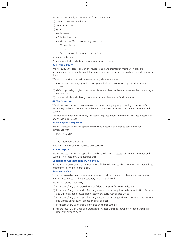We will not indemnify You in respect of any claim relating to

- (1) a contract entered into by You
- (2) tenancy disputes
- (3) goods
	- (a) in transit
	- (b) lent or hired out
	- (c) at premises You do not occupy unless for
		- (i) installation
			- or
		- (ii) use in work to be carried out by You
- (4) mining subsidence
- (5) a motor vehicle whilst being driven by an Insured Person

#### **3B Personal Injury**

We will pursue the legal rights of an Insured Person and their family members, if they are accompanying an Insured Person, following an event which causes the death of, or bodily injury to them.

We will not provide indemnity in respect of any claim relating to

- (1) any illness or bodily injury which develops gradually or is not caused by a specific or sudden accident
- (2) defending the legal rights of an Insured Person or their family members other than defending a counter claim
- (3) a motor vehicle whilst being driven by an Insured Person or a family member.

#### **4A Tax Protection**

We will represent You and negotiate on Your behalf in any appeal proceedings in respect of a Full Enquiry and/or Aspect Enquiry and/or Intervention Enquiry carried out by H.M. Revenue and Customs.

The maximum amount We will pay for Aspect Enquiries and/or Intervention Enquiries in respect of any one claim is £5,000.

#### **4B Employers' Compliance**

We will represent You in any appeal proceedings in respect of a dispute concerning Your compliance with

(1) Pay as You Earn

or

(2) Social Security Regulations

following a review by H.M. Revenue and Customs.

### **4C VAT Disputes**

We will represent You in any appeal proceedings following an assessment by H.M. Revenue and Customs in respect of value added tax due.

#### **Condition to Contingencies 4A, 4B and 4C**

If in relation to any claim You have failed to fulfil the following condition You will lose Your right to indemnity or payment for that claim.

#### **Reasonable Care**

You must have taken reasonable care to ensure that all returns are complete and correct and such returns are submitted within the statutory time limits allowed.

We will not provide indemnity

- (1) in respect of any claim caused by Your failure to register for Value Added Tax
- (2) in respect of any claim arising from any investigations or enquiries undertaken by H.M. Revenue and Customs Special Investigation Section or Special Compliance Office
- (3) in respect of any claim arising from any investigations or enquiry by H.M. Revenue and Customs into alleged dishonesty or alleged criminal offences
- (4) in respect of any claim arising from a tax avoidance scheme
- (5) for the first 10% of Costs and Expenses for Aspect Enquiries and/or Intervention Enquiries in respect of any one claim.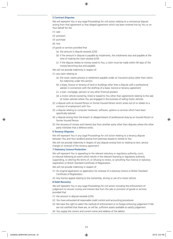#### **5 Contract Disputes**

We will represent You in any Legal Proceedings for civil action relating to a contractual dispute arising from that agreement or that alleged agreement which has been entered into by You or on Your behalf for the

- (1) sale
- (2) provision
- (3) purchase
- (4) hire
- of goods or services provided that
	- (a) the amount in dispute exceeds £250
	- (b) if the amount in dispute is payable by instalments, the instalments due and payable at the time of making the claim exceed £250
	- (c) if the dispute relates to money owed to You, a claim must be made within 90 days of the money becoming due and payable.

We will not provide indemnity in respect of

- (1) any claim relating to
	- (a) the cover, claims process or settlement payable under an insurance policy other than claims for indemnity under this section
	- (b) a lease, licence or tenancy of land or buildings other than a dispute with a professional adviser in connection with the drafting of a lease, licence or tenancy agreement
	- (c) a loan, mortgage, pension or any other financial product
	- (d) a motor vehicle owned by, hired or leased to You other than agreements relating to the sale of motor vehicles where You are engaged in the business of selling motor vehicles
- (2) a dispute with an Insured Person or former Insured Person which arises out of or relates to a contract of employment with You
- (3) a dispute relating to computer hardware, software, systems or services which have been specifically tailored
- (4) a dispute arising from the breach or alleged breach of professional duty by an Insured Person or former Insured Person
- (5) the recovery of money and interest due from another party other than disputes where the other party intimates that a defence exists.

#### **6 Tenancy Disputes**

We will represent You in any Legal Proceedings for civil action relating to a tenancy dispute between You and Your landlord arising from premises leased or rented to You.

We will not provide indemnity in respect of any dispute arising from or relating to rent, service charges or renewal of the tenancy agreement.

#### **7 Statutory Licence Protection**

We will represent You in appealing to the relevant statutory or regulatory authority, court, or tribunal following an event which results in the relevant licensing or regulatory authority suspending, or altering the terms of, or refusing to renew, or cancelling Your licence or statutory registration or British Standard Certificate of Registration.

We will not provide indemnity in respect of

- (1) An original application or application for renewal of a statutory licence or British Standard Certificate of Registration.
- (2) Any licence appeal relating to the ownership, driving or use of a motor vehicle.

#### **8 Debt Recovery**

We will represent You in any Legal Proceedings for civil action including the enforcement of judgement to recover money and interest due from the sale or provision of goods or services provided that

- (1) the amount in dispute exceeds £250
- (2) You have exhausted all reasonable credit control and accounting procedures
- (3) We have the right to select the method of enforcement or to forego enforcing judgement if We are not satisfied that there are, or will be, sufficient assets available to satisfy judgement
- (4) You supply the correct and current name and address of the debtor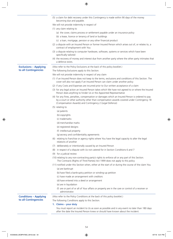- (5) a claim for debt recovery under this Contingency is made within 90 days of the money becoming due and payable. We will not provide indemnity in respect of (1) any claim relating to (a) the cover, claims process or settlement payable under an insurance policy (b) a lease, licence or tenancy of land or buildings (c) a loan, mortgage, pension or any other financial product (2) a dispute with an Insured Person or former Insured Person which arises out of, or relates to, a contract of employment with You (3) a dispute relating to computer hardware, software, systems or services which have been specifically tailored (4) the recovery of money and interest due from another party where the other party intimates that a defence exists. **Exclusions – Applying to all Contingencies** (Also refer to the Policy Exclusions at the back of this policy booklet.) The following Exclusions apply to this Section. We will not provide indemnity in respect of any claim (1) if an Insured Person does not keep to the terms, exclusions and conditions of this Section. The cover will also not apply if an Insured Person can claim under another policy (2) if any Costs and Expenses are incurred prior to Our written acceptance of a claim (3) for any legal action an Insured Person takes which We have not agreed to or where the Insured Person does anything to hinder Us or the Appointed Representative (4) for any fines, penalties, compensation or damages which an Insured Person is ordered to pay by a court or other authority other than compensation awards covered under Contingency 1B (Compensation Awards) and Contingency 2 (Legal Defence) (5) relating to (a) patents (b) copyrights (c) trademarks (d) merchandise marks (e) registered designs (f) intellectual property (g) secrecy and confidentiality agreements (6) relating to franchise or agency rights where You have the legal capacity to alter the legal relations of another (7) deliberately or intentionally caused by an Insured Person (8) in respect of a dispute with Us not catered for in Section Conditions 6 and 7 (9) for a judicial review (10) relating to any non-contracting party's rights to enforce all or any part of this Section. The Contracts (Rights of Third Parties) Act 1999 does not apply to this policy (11) notified under this Section when, either at the start of or during the course of the claim You (a) are bankrupt (b) have filed a bankruptcy petition or winding-up petition (c) have made an arrangement with creditors (d) have entered into a deed or arrangement
	- (e) are in liquidation
	- (f) are or part of or all of Your affairs or property are in the care or control of a receiver or administrator.

(Also refer to the Policy Conditions at the back of this policy booklet.)

The following Conditions apply to this Section.

**1. Claims – your duty**

**Conditions – Applying to all Contingencies**

> You must report an incident to Us as soon as possible and in any event no later than 180 days after the date the Insured Person knew or should have known about the incident.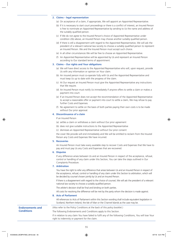#### **2. Claims – legal representation**

- (a) On acceptance of a claim, if appropriate, We will appoint an Appointed Representative.
- (b) If it is necessary to start court proceedings or there is a conflict of interest, an Insured Person is free to nominate an Appointed Representative by sending to Us the name and address of the suitably qualified person.
- (c) If We do not agree to the Insured Person's choice of Appointed Representative under condition 2(b) above, an Insured Person may choose another suitably qualified person.
- (d) If there is still a disagreement with regard to the Appointed Representative, We will ask the president of a relevant national law society to choose a suitably qualified person to represent an Insured Person. We and the Insured Person must accept such choice.
- (e) In all other circumstances We will be free to choose an Appointed Representative.
- (f) An Appointed Representative will be appointed by Us and represent an Insured Person according to Our standard terms of appointment.

### **3. Claims – Our rights and Your obligations**

- (a) We will have direct access to the Appointed Representative who will, upon request, provide Us with any information or opinion on Your claim.
- (b) An insured person must co-operate fully with Us and the Appointed Representative and must keep Us up to date with the progress of the claim.
- (c) At Our request an Insured Person must give the Appointed Representative any instructions that We require.
- (d) An Insured Person must notify Us immediately if anyone offers to settle a claim or makes a payment into court.
- (e) If an Insured Person does not accept the recommendation of the Appointed Representative to accept a reasonable offer or payment into court to settle a claim, We may refuse to pay further Costs and Expenses.
- (f) No agreement to settle on the basis of both parties paying their own costs is to be made without Our prior approval.

#### **4. Discontinuance of a claim**

If an Insured Person

- (a) settles a claim or withdraws a claim without Our prior agreement
- (b) does not give suitable instructions to the Appointed Representative
- (c) dismisses an Appointed Representative without Our prior consent

the cover We provide will end immediately and We will be entitled to reclaim from the Insured Person any Costs and Expenses We have incurred.

#### **5. Recoveries**

An Insured Person must take every available step to recover Costs and Expenses that We have to pay and must pay Us any Costs and Expenses that are recovered.

#### **6. Disputes**

If any difference arises between Us and an Insured Person in respect of the acceptance, refusal, control or handling of any claim under this Section, You can take the steps outlined in Our Complaints Procedure.

#### **7. Arbitration**

You have the right to refer any difference that arises between Us and an Insured Person in respect of the acceptance, refusal, control or handling of any claim under this Section to arbitration, which will be decided by counsel chosen jointly by Us and an Insured Person.

If there is a disagreement with regard to the choice of counsel, We will ask the president of a relevant national law society to choose a suitably qualified person.

The arbiter's decision shall be final and binding on both parties.

All costs for resolving the difference will be met by the party whom the decision is made against.

#### **8. Acts of Parliament**

All references to Acts of Parliament within this Section wording shall include equivalent legislation in Scotland, Northern Ireland, the Isle of Man or the Channel Islands as the case may be.

**Endorsements and Conditions**

(Also refer to the Policy Conditions at the back of this policy booklet.)

The following Endorsements and Conditions apply to this Section.

If in relation to any claim You have failed to fulfil any of the following Conditions, You will lose Your right to indemnity or payment for the claim.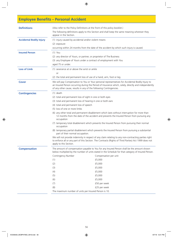## **Employee Benefits – Personal Accident**

| <b>Definitions</b>              | (Also refer to the Policy Definitions at the front of this policy booklet.)                                                                                                                                                                                                    |                                                                                                                                                                                                   |  |  |  |
|---------------------------------|--------------------------------------------------------------------------------------------------------------------------------------------------------------------------------------------------------------------------------------------------------------------------------|---------------------------------------------------------------------------------------------------------------------------------------------------------------------------------------------------|--|--|--|
|                                 | The following definitions apply to this Section and shall keep the same meaning wherever they<br>appear in the Section.                                                                                                                                                        |                                                                                                                                                                                                   |  |  |  |
| <b>Accidental Bodily Injury</b> | (1) injury caused by accidental and/or violent means                                                                                                                                                                                                                           |                                                                                                                                                                                                   |  |  |  |
|                                 | (2) exposure                                                                                                                                                                                                                                                                   |                                                                                                                                                                                                   |  |  |  |
|                                 | occurring within 24 months from the date of the accident by which such injury is caused.                                                                                                                                                                                       |                                                                                                                                                                                                   |  |  |  |
| <b>Insured Person</b>           | $(1)$ You                                                                                                                                                                                                                                                                      |                                                                                                                                                                                                   |  |  |  |
|                                 |                                                                                                                                                                                                                                                                                | (2) any director of Yours, or partner, or proprietor of The Business                                                                                                                              |  |  |  |
|                                 |                                                                                                                                                                                                                                                                                | (3) any Employee of Yours under a contract of employment with You                                                                                                                                 |  |  |  |
|                                 | aged 75 or under.                                                                                                                                                                                                                                                              |                                                                                                                                                                                                   |  |  |  |
| <b>Loss of Limb</b>             | (1) severance at or above the wrist or ankle                                                                                                                                                                                                                                   |                                                                                                                                                                                                   |  |  |  |
|                                 | or                                                                                                                                                                                                                                                                             |                                                                                                                                                                                                   |  |  |  |
|                                 |                                                                                                                                                                                                                                                                                | (2) the total and permanent loss of use of a hand, arm, foot or leg.                                                                                                                              |  |  |  |
| <b>Cover</b>                    | We will pay Compensation to You or Your personal representatives for Accidental Bodily Injury to<br>an Insured Person occurring during the Period of Insurance which, solely, directly and independently<br>of any other cause, results in any of the following Contingencies. |                                                                                                                                                                                                   |  |  |  |
| <b>Contingencies</b>            | $(1)$ death                                                                                                                                                                                                                                                                    |                                                                                                                                                                                                   |  |  |  |
|                                 | (2) total and permanent loss of sight in one or both eyes                                                                                                                                                                                                                      |                                                                                                                                                                                                   |  |  |  |
|                                 | (3) total and permanent loss of hearing in one or both ears                                                                                                                                                                                                                    |                                                                                                                                                                                                   |  |  |  |
|                                 | (4) total and permanent loss of speech                                                                                                                                                                                                                                         |                                                                                                                                                                                                   |  |  |  |
|                                 | (5) loss of one or more limbs                                                                                                                                                                                                                                                  |                                                                                                                                                                                                   |  |  |  |
|                                 | (6) any other total and permanent disablement which lasts without interruption for more than<br>12 months from the date of the accident and prevents the Insured Person from pursuing any<br>occupation                                                                        |                                                                                                                                                                                                   |  |  |  |
|                                 | (7) temporary total disablement which prevents the Insured Person from pursuing their normal<br>occupation                                                                                                                                                                     |                                                                                                                                                                                                   |  |  |  |
|                                 | (8) temporary partial disablement which prevents the Insured Person from pursuing a substantial<br>part of their normal occupation.                                                                                                                                            |                                                                                                                                                                                                   |  |  |  |
|                                 | We will not provide indemnity in respect of any claim relating to any non-contracting parties right<br>to enforce all or any part of this Section. The Contracts (Rights of Third Parties) Act 1999 does not<br>apply to this Section.                                         |                                                                                                                                                                                                   |  |  |  |
| <b>Compensation</b>             |                                                                                                                                                                                                                                                                                | The amount of compensation payable to You for any Insured Person shall be the amount shown<br>below multiplied by the number of units stated in the Schedule for that category of Insured Person. |  |  |  |
|                                 | Contingency Number                                                                                                                                                                                                                                                             | Compensation per unit                                                                                                                                                                             |  |  |  |
|                                 | (1)                                                                                                                                                                                                                                                                            | £5,000                                                                                                                                                                                            |  |  |  |
|                                 | (2)                                                                                                                                                                                                                                                                            | £5,000                                                                                                                                                                                            |  |  |  |
|                                 | (3)                                                                                                                                                                                                                                                                            | £5,000                                                                                                                                                                                            |  |  |  |
|                                 | (4)                                                                                                                                                                                                                                                                            | £5,000                                                                                                                                                                                            |  |  |  |
|                                 | (5)                                                                                                                                                                                                                                                                            | £5,000                                                                                                                                                                                            |  |  |  |
|                                 | (6)                                                                                                                                                                                                                                                                            | £5,000                                                                                                                                                                                            |  |  |  |
|                                 | (7)                                                                                                                                                                                                                                                                            | £50 per week                                                                                                                                                                                      |  |  |  |
|                                 | (8)                                                                                                                                                                                                                                                                            | £25 per week                                                                                                                                                                                      |  |  |  |
|                                 | The maximum number of units per Insured Person is 10.                                                                                                                                                                                                                          |                                                                                                                                                                                                   |  |  |  |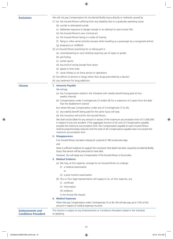**Exclusions** We will not pay Compensation for Accidental Bodily Injury directly or indirectly caused by

- (1) (a) the Insured Person suffering from any disability due to a gradually operating cause
	- (b) suicide or attempted suicide
	- (c) deliberate exposure to danger (except in an attempt to save human life)
	- (d) the Insured Person's own criminal act
	- (e) the Insured Person being in a state of insanity
	- (f) flying or other aerial activities (except while travelling as a passenger by a recognised airline)
	- (g) pregnancy or childbirth
- (2) an Insured Person practising for or taking part in
	- (a) mountaineering or rock climbing requiring use of ropes or guides
	- (b) pot-holing
	- (c) winter sports
	- (d) any kind of racing (except foot races)
	- (e) speed or time trials
	- (f) naval military or air force service or operations
- (3) the effects of alcohol or drugs (other than drugs prescribed by a doctor)
- (4) any treatment for drug addiction.

#### **Clauses 1. Amounts Payable**

#### We will pay

- (a) the Compensation stated in the Schedule with weekly benefit being paid at four weekly intervals
- (b) Compensation under Contingencies (7) and/or (8) for a maximum of 2 years from the date that the disablement started

but where We pay Compensation under any of Contingencies (1) to (6),

(c) any weekly benefit being paid for the same injury will stop

(d) this insurance will end for the Insured Person.

We shall not be liable for any amount in excess of the maximum accumulation limit of £1,000,000 in respect of any one accident. If the aggregate amount of all units of Compensation payable exceeds the maximum accumulation limit, the Compensation payable to each Insured Person shall be proportionately reduced until the total of all Compensation payable does not exceed the maximum accumulation limit.

#### **2. Disappearance**

If an Insured Person has been missing for a period of 180 consecutive days and

there is sufficient evidence to support the conclusion that death has been caused by Accidental Bodily Injury, that person will be presumed to have died.

However, You will repay any Compensation if the Insured Person is found alive.

#### **3. Medical Evidence**

(a) We may, at Our expense, arrange for an Insured Person to undergo

- (i) a medical examination
	- or
- (ii) a post mortem examination
- (b) You or Your legal representative will supply to Us, at Your expense, any
	- (i) certificate
	- (ii) information
	- (iii) evidence
	- in the format We require.

### **4. Medical Expenses**

When We pay Compensation under Contingencies (7) or (8), We will also pay up to 15% of this amount in respect of medical expenses incurred.

#### **Endorsements and Conditions Precedent** This Section is subject to any Endorsements or Conditions Precedent stated in the Schedule as applying.

57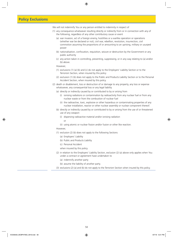### **Policy Exclusions**

We will not indemnify You or any person entitled to indemnity in respect of

- (1) any consequence whatsoever resulting directly or indirectly from or in connection with any of the following, regardless of any other contributory cause or event
	- (a) war invasion, act of a foreign enemy, hostilities or a warlike operation or operations (whether war be declared or not), civil war, rebellion, revolution, insurrection, civil commotion assuming the proportions of or amounting to an uprising, military or usurped power
	- (b) nationalisation, confiscation, requisition, seizure or destruction by the Government or any public authority
	- (c) any action taken in controlling, preventing, suppressing, or in any way relating to (a) and/or (b) above.

#### However,

- (1) exclusions (1) (a) (b) and (c) do not apply to the Employers' Liability Section or to the Terrorism Section, when insured by this policy
- (2) exclusion (1) (b) does not apply to the Public and Products Liability Section or to the Personal Accident Section, when insured by this policy.
- (2) death or disablement, loss or destruction of or damage to any property, any loss or expense whatsoever, any consequential loss or any legal liability
	- (a) directly or indirectly caused by or contributed to by or arising from
		- (i) ionising radiations or contamination by radioactivity from any nuclear fuel or from any nuclear waste or from the combustion of nuclear fuel
		- (ii) the radioactive, toxic, explosive or other hazardous or contaminating properties of any nuclear installation, reactor or other nuclear assembly or nuclear component thereof.
	- (b) directly or indirectly caused by or contributed to by or arising from the use of or threatened use of any weapon
		- (i) dispersing radioactive material and/or ionising radiation
			- or
		- (ii) using atomic or nuclear fission and/or fusion or other like reaction.

#### However,

- (1) exclusion (2) (b) does not apply to the following Sections
	- (a) Employers' Liability
	- (b) Public and Products Liability
	- (c) Personal Accident
	- when insured by this policy.
- (2) in relation to the Employers' Liability Section, exclusion (2) (a) above only applies when You under a contract or agreement have undertaken to
	- (a) indemnify another party
	- (b) assume the liability of another party.
- (3) exclusions (2) (a) and (b) do not apply to the Terrorism Section when insured by this policy.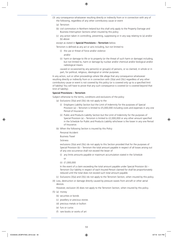- (3) any consequence whatsoever resulting directly or indirectly from or in connection with any of the following, regardless of any other contributory cause or event
	- (a) Terrorism
	- (b) civil commotion in Northern Ireland but this shall only apply to the Property Damage and Business Interruption Sections when insured by this policy
	- (c) any action taken in controlling, preventing, suppressing or in any way relating to (a) and/or (b) above

except as stated in **Special Provisions – Terrorism** below.

Terrorism is defined as any act or acts including, but not limited to

(i) the use or threat of force and/or violence

and/or

(ii) harm or damage to life or to property (or the threat of such harm or damage) including, but not limited to, harm or damage by nuclear and/or chemical and/or biological and/or radiological means

caused or occasioned by any person(s) or group(s) of persons, or so claimed, in whole or in part, for political, religious, ideological or similar purposes.

In any action, suit or other proceedings where We allege that any consequence whatsoever resulting directly or indirectly from or in connection with (3)(a) and (3)(c) regardless of any other contributory cause or event is not covered by this policy (or is covered only up to a specified limit of liability) You will have to prove that any such consequence is covered (or is covered beyond that limit of liability).

#### **Special Provisions – Terrorism**

Subject otherwise to the terms, conditions and exclusions of the policy

- (a) Exclusions  $(3)(a)$  and  $(3)(c)$  do not apply to the
	- (i) Employers Liability Section but the Limit of Indemnity for the purposes of Special Provision (a) – Terrorism is limited to £5,000,000 including costs and expenses in any one Period of Insurance
	- (ii) Public and Products Liability Section but the Limit of Indemnity for the purposes of Special Provision (a) – Terrorism is limited to £2,000,000 or any other amount specified in the Schedule for Public and Products Liability whichever is the lower in any one Period of Insurance.
- (b) When the following Section is insured by this Policy

Personal Accident

Business Travel

### Sickness

exclusions (3)(a) and (3)(c) do not apply to this Section provided that for the purposes of Special Provision (b) – Terrorism the total amount payable in respect of all losses arising out of any one occurrence shall not exceed the lesser of

(i) any limits amounts payable or maximum accumulation stated in the Schedule

or

(ii) £1,000,000

In the event of a claim exceeding the total amount payable under Special Provision (b) – Terrorism Our liability in respect of each Insured Person claimed for shall be proportionately reduced until the total does not exceed such total amount payable.

- (c) Exclusions (3)(a) and (3)(c) do not apply to the Terrorism Section, when insured by this policy.
- (4) Loss, destruction or damage directly caused by pressure waves from aircraft or other aerial devices.

However, exclusion (4) does not apply to the Terrorism Section, when insured by this policy.

- (5) (a) money
	- (b) securities or bonds
	- (c) jewellery or precious stones
	- (d) precious metals or bullion
	- (e) furs or curios
	- (f) rare books or works of art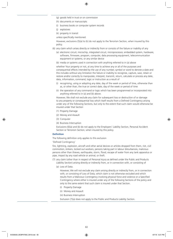- (g) goods held in trust or on commission
- (h) documents or manuscripts
- (i) business books or computer system records
- (j) explosives
- (k) property in transit

unless specifically mentioned.

However, exclusions (5)(a) to (k) do not apply to the Terrorism Section, when insured by this policy.

- (6) any claim which arises directly or indirectly from or consists of the failure or inability of any
	- (a) electronic circuit, microchip, integrated circuit, microprocessor, embedded system, hardware, software, firmware, program, computer, data processing equipment, telecommunication equipment or systems, or any similar device
	- (b) media or systems used in connection with anything referred to in (a) above

whether Your property or not, at any time to achieve any or all of the purposes and consequential effects intended by the use of any number, symbol or word to denote a date and this includes without any limitation the failure or inability to recognise, capture, save, retain or restore and/or correctly to manipulate, interpret, transmit, return, calculate or process any date, data, information, command, logic or instruction as a result of

- (i) recognising, using or adopting any date, day of the week or period of time, otherwise than as, or other than, the true or correct date, day of the week or period of time
- (ii) the operation of any command or logic which has been programmed or incorporated into anything referred to in (a) and (b) above.

However, We shall not exclude any claim for subsequent loss or destruction of or damage to any property or consequential loss which itself results from a Defined Contingency arising under any of the following Sections, but only to the extent that such claim would otherwise be insured under that Section

- (1) Property Damage
- (2) Money and Assault
- (3) Computer
- (4) Business Interruption

Exclusions (6)(a) and (b) do not apply to the Employers' Liability Section, Personal Accident Section or Terrorism Section, when insured by this policy.

#### **Definition**

The following definition only applies to this exclusion

#### 'Defined Contingency'

fire, lightning, explosion, aircraft and other aerial devices or articles dropped from them, riot, civil commotion, strikers, locked out workers, persons taking part in labour disturbances, malicious persons other than thieves, earthquake, storm, flood, escape of water from any tank apparatus or pipe, impact by any road vehicle or animal, or theft.

- (7) any claim (other than in respect of Personal Injury as defined under the Public and Products Liability Section) arising directly or indirectly from, or in connection with, or consisting of
	- (a) Loss of Data.

However, We will not exclude any claim arising directly or indirectly from, or in connection with, or consisting of Loss of Data, which claim is not otherwise excluded and which results from a Malicious Contingency involving physical force and violence or a Specified Contingency where either is insured under any of the following Sections of the policy and only to the same extent that such claim is insured under that Section.

- (i) Property Damage
- (ii) Money and Assault
- (iii) Business Interruption

Exclusion (7)(a) does not apply to the Public and Products Liability Section.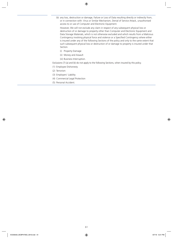(b) any loss, destruction or damage, Failure or Loss of Data resulting directly or indirectly from, or in connection with: Virus or Similar Mechanism, Denial of Service Attack, unauthorised access to or use of Computer and Electronic Equipment.

However, We will not exclude any claim in respect of any subsequent physical loss or destruction of or damage to property other than Computer and Electronic Equipment and Data Storage Materials, which is not otherwise excluded and which results from a Malicious Contingency involving physical force and violence or a Specified Contingency where either is insured under any of the following Sections of the policy and only to the same extent that such subsequent physical loss or destruction of or damage to property is insured under that Section.

- (i) Property Damage
- (ii) Money and Assault
- (iii) Business Interruption.

Exclusions (7) (a) and (b) do not apply to the following Sections, when insured by this policy.

- (1) Employee Dishonesty
- (2) Terrorism
- (3) Employers' Liability
- (4) Commercial Legal Protection
- (5) Personal Accident.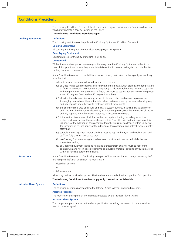|  |  |  | <b>Conditions Precedent</b> |
|--|--|--|-----------------------------|
|  |  |  |                             |

The following Conditions Precedent should be read in conjunction with other Conditions Precedent which may apply to a specific Section of the Policy.

#### **The following Conditions Precedent apply.**

**Cooking Equipment Definitions** 

The following definitions only apply to the Cooking Equipment Condition Precedent.

### **Cooking Equipment**

All cooking and frying equipment including Deep Frying Equipment.

#### **Deep Frying Equipment**

Equipment used for frying by immersing in fat or oil.

#### **Unattended**

Without a competent person remaining continuously near the Cooking Equipment, either in full view of it or positioned where they are able to take action to prevent, extinguish or control a fire starting from such equipment.

It is a Condition Precedent to our liability in respect of loss, destruction or damage, by or resulting from fire that

- 1. where Cooking Equipment is located within The Premises
	- (a) all Deep Frying Equipment must be fitted with a thermostat which prevents the temperature of fat or oil exceeding 205 degrees Centigrade (401 degrees Fahrenheit). Where a separate high temperature safety thermostat is fitted, this must be set to a temperature of no greater than 230 degrees Centigrade (450 degrees Fahrenheit)
	- (b) all extract hoods, canopies, canopy exhaust plenums, filters and grease traps must be thoroughly cleaned over their entire internal and external areas by the removal of all greasy and oily deposits and other waste materials at least every month
	- (c) the entire internal area of all flues and extract system ducting, including extraction motors and fans must be thoroughly cleaned by a competent person, with the removal of all greasy and oily deposits and other waste materials, at least every 6 months
	- (d) if the entire internal area of all flues and extract system ducting, including extraction motors and fans, have not been so cleaned within 6 months prior to the inception of this insurance or the addition of this condition, then they must be so cleaned within 30 days of the inception of this insurance or the addition of this condition, and at least every 6 months after that
	- (e) suitable fire extinguishers and/or blankets must be kept in the frying and cooking area and staff are fully trained how to use them
	- (f) no Cooking Equipment using fats, oils or coals must be left Unattended while the heat source is operating
	- (g) all Cooking Equipment including flues and extract system ducting, must be kept from contact with and not in close proximity to combustible material including any such material within or forming part of the building.

**Protections** It is a Condition Precedent to Our liability in respect of loss, destruction or damage caused by theft or attempted theft that whenever The Premises are

- 1. closed for business
	- or
- 2. left unattended

all security devices provided to protect The Premises are properly fitted and put into full operation. **The following Conditions Precedent apply only if stated in the Schedule.**

**Intruder Alarm System Definitions**

#### The following definitions only apply to the Intruder Alarm System Condition Precedent.

#### **Alarmed Premises**

The Premises or those parts of The Premises protected by the Intruder Alarm System.

#### **Intruder Alarm System**

The component parts detailed in the alarm specification including the means of communication used to transmit signals.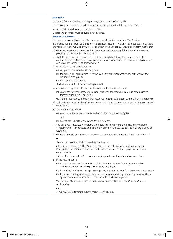#### **Keyholder**

You or any Responsible Person or keyholding company authorised by You

(1) to accept notification of faults or alarm signals relating to the Intruder Alarm System

(2) to attend, and allow access to The Premises

at least one of whom must be available at all times.

#### **Responsible Person**

You or any person authorised by You to be responsible for the security of The Premises.

It is a Condition Precedent to Our liability in respect of loss, destruction or damage caused by theft or attempted theft involving entry into or exit from The Premises by forcible and violent means that

- (1) whenever The Premises are closed for business or left unattended the Alarmed Premises are protected by the Intruder Alarm System
- (2) the Intruder Alarm System shall be maintained in full and efficient working order under a contract to provide both corrective and preventative maintenance with the installing company or such other company, as agreed with Us
- (3) no alteration to, or substitution of
	- (a) any part of the Intruder Alarm System
	- (b) the procedures agreed with Us for police or any other response to any activation of the Intruder Alarm System
	- (c) the maintenance contract
	- shall be made without Our written agreement
- (4) at least one Responsible Person must remain on the Alarmed Premises
	- (a) unless the Intruder Alarm System is fully set with the means of communication used to transmit signals in full operation
	- (b) if the police have withdrawn their response to alarm calls except where We agree otherwise
- (5) all keys to the Intruder Alarm System are removed from The Premises when The Premises are left unattended
- (6) You and each Keyholder
	- (a) keep secret the codes for the operation of the Intruder Alarm System and
	- (b) do not leave details of the codes on The Premises
- (7) You appoint at least two Keyholders and notify this in writing to the police and the alarm company who are contracted to maintain the alarm. You must also tell them of any change of Keyholders
- (8) when the Intruder Alarm System has been set, and notice is given that it has been activated or
	- the means of communication have been interrupted

a Keyholder must attend The Premises as soon as possible following such notice and a Responsible Person must remain there until the requirements of paragraph (4) have been complied with.

This must be done unless We have previously agreed in writing alternative procedures

- (9) if You receive notice
	- (a) that police response to alarm signals/calls from the Intruder Alarm System may be withdrawn or the level of response reduced or delayed
	- (b) from a local authority or magistrate imposing any requirements for abatement of a nuisance
	- (c) from the installing company or another company as agreed by Us that the Intruder Alarm System cannot be returned to, or maintained in, full working order

You must tell Us as soon as possible and in any event no later that 10.00am on Our next working day

and

comply with all alternative security measures We require.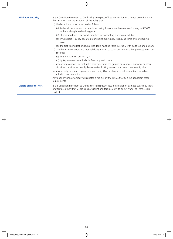| <b>Minimum Security</b>       | It is a Condition Precedent to Our liability in respect of loss, destruction or damage occurring more<br>than 30 days after the inception of the Policy that                                                               |
|-------------------------------|----------------------------------------------------------------------------------------------------------------------------------------------------------------------------------------------------------------------------|
|                               | (1) final exit doors must be secured as follows:                                                                                                                                                                           |
|                               | (a) timber doors – by mortice deadlocks having five or more levers or conforming to BS3621<br>with matching boxed striking plate                                                                                           |
|                               | (b) aluminium doors – by cylinder mortice lock operating a swinging lock bolt                                                                                                                                              |
|                               | (c) PVCu doors - by key operated multi-point locking devices having three or more locking<br>points                                                                                                                        |
|                               | (d) the first closing leaf of double leaf doors must be fitted internally with bolts top and bottom                                                                                                                        |
|                               | (2) all other external doors and internal doors leading to common areas or other premises, must be<br>secured:                                                                                                             |
|                               | (a) by the means set out in $(1)$ , or                                                                                                                                                                                     |
|                               | (b) by key operated security bolts fitted top and bottom                                                                                                                                                                   |
|                               | (3) all opening windows or roof lights accessible from the ground or via roofs, pipework or other<br>structures must be secured by key operated locking devices or screwed permanently shut                                |
|                               | (4) any security measures stipulated or agreed by Us in writing are implemented and in full and<br>effective working order.                                                                                                |
|                               | Any door or window officially designated a fire exit by the Fire Authority is excluded from these<br>requirements.                                                                                                         |
| <b>Visible Signs of Theft</b> | It is a Condition Precedent to Our liability in respect of loss, destruction or damage caused by theft<br>or attempted theft that visible signs of violent and forcible entry to or exit from The Premises are<br>evident. |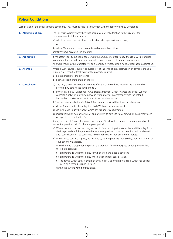## **Policy Conditions**

Each Section of the policy contains conditions. They must be read in conjunction with the following Policy Conditions.

| 1. Alteration of Risk  | The Policy is voidable where there has been any material alteration to the risk after the                                                                                                                                                                                              |
|------------------------|----------------------------------------------------------------------------------------------------------------------------------------------------------------------------------------------------------------------------------------------------------------------------------------|
|                        | commencement of this insurance                                                                                                                                                                                                                                                         |
|                        | (a) which increases the risk of loss, destruction, damage, accident or injury                                                                                                                                                                                                          |
|                        | or                                                                                                                                                                                                                                                                                     |
|                        | (b) where Your interest ceases except by will or operation of law                                                                                                                                                                                                                      |
|                        | unless We have accepted the alteration.                                                                                                                                                                                                                                                |
| 2. Arbitration         | If We accept liability but You disagree with the amount We offer to pay, the claim will be referred<br>to an arbitrator who will be jointly appointed in accordance with statutory provisions.                                                                                         |
|                        | An award made by the arbitrator will be a Condition Precedent to a right of legal action against Us.                                                                                                                                                                                   |
| 3. Average             | Where a Sum Insured is subject to average, if at the time of loss, destruction or damage, the Sum<br>Insured is less than the total value of the property, You will                                                                                                                    |
|                        | (a) be responsible for the difference                                                                                                                                                                                                                                                  |
|                        | (b) bear a proportionate share of the loss.                                                                                                                                                                                                                                            |
| <b>4. Cancellation</b> | (a) You may cancel this policy at any time after the date We have received the premium by<br>providing 30 days notice in writing to Us.                                                                                                                                                |
|                        | (b) If there is a default under Your Aviva credit agreement which finances this policy, We may<br>cancel this policy by providing notice in writing to You in accordance with the default<br>termination provisions set out in Your Aviva credit agreement.                            |
|                        | If Your policy is cancelled under (a) or (b) above and provided that there have been no:                                                                                                                                                                                               |
|                        | claim(s) made under the policy for which We have made a payment<br>(1)                                                                                                                                                                                                                 |
|                        | (ii) claim(s) made under the policy which are still under consideration                                                                                                                                                                                                                |
|                        | (iii) incident(s) which You are aware of and are likely to give rise to a claim which has already been<br>or is yet to be reported to Us                                                                                                                                               |
|                        | during the current Period of Insurance We may, at Our discretion, refund to You a proportionate<br>part of the premium paid for the unexpired period.                                                                                                                                  |
|                        | (c) Where there is no Aviva credit agreement to finance this policy, We will cancel this policy from<br>the inception date if the premium has not been paid and no return premium will be allowed.<br>Such cancellation will be confirmed in writing by Us to Your last known address. |
|                        | (d) We may also cancel this policy at any time by sending not less than 30 days notice in writing to<br>Your last known address.                                                                                                                                                       |
|                        | We will refund a proportionate part of the premium for the unexpired period provided that<br>there have been no:                                                                                                                                                                       |
|                        | claim(s) made under the policy for which We have made a payment<br>(1)                                                                                                                                                                                                                 |
|                        | (ii) claim(s) made under the policy which are still under consideration                                                                                                                                                                                                                |
|                        | (iii) incident(s) which You are aware of and are likely to give rise to a claim which has already<br>been or is yet to be reported to Us                                                                                                                                               |
|                        |                                                                                                                                                                                                                                                                                        |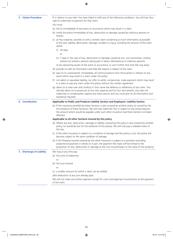**5. Claims Procedure** If in relation to any claim You have failed to fulfil any of the following conditions, You will lose Your right to indemnity or payment for that claim.

- You must
- (a) tell Us immediately of any event or occurrence which may result in a claim
- (b) notify the police immediately of loss, destruction or damage caused by malicious persons or thieves
- (c) at Your expense, provide Us with a written claim containing as much information as possible of the loss, liability, destruction, damage, accident or injury, including the amount of the claim within
	- (i) 30 days

or

- (ii) 7 days in the case of loss, destruction or damage caused by riot, civil commotion, strikers, locked out workers, persons taking part in labour disturbances or malicious persons
- of you becoming aware of the event or occurrence, or such further time that We may allow
- (d) provide Us with all information and help We require in respect of the claim
- (e) pass to Us unanswered, immediately, all communications from third parties in relation to any event which may result in a claim under this policy
- (f) not admit or repudiate liability, nor offer to settle, compromise, make payment which may result in a claim or pay any claim under this policy without Our written agreement
- (g) allow Us to take over and conduct in Your name the defence or settlement of any claim. You will also allow Us to prosecute at Our own expense and for Our own benefit, any claim for indemnity or compensation against any other person and You must give Us all information and assistance required.

#### **6. Contribution Applicable to Public and Products Liability Section and Employers' Liability Section**

(a) If the insurance provided by these Sections is also covered by another policy (or would but for the existence of these Sections), We will only indemnify You in respect of any excess beyond the amount which would be payable under such other insurance had these Sections not been effected

#### **Applicable to all other Sections insured by this policy**

- (b) Where any loss, destruction, damage or liability covered by the policy is also covered by another policy, (or would be but for the existence of this policy), We will only pay a rateable share of the loss
- (c) If the other insurance is subject to a condition of average and this policy is not, this policy will become subject to the same condition of average
- (d) If the Property Insured covered by the other insurance is subject to a provision excluding proportional payment in whole or in part, the payment We make will be limited to the proportion of loss, destruction or damage as the Sum Insured bears to the value of the property.

**7. Discharge of Liability** We may at any time pay

(a) the Limit of Indemnity

or

- (b) the Sum Insured
	- $\alpha$ r
- (c) a smaller amount for which a claim can be settled

after deduction of any sum already paid.

We will not make any further payment except for costs and expenses incurred prior to the payment of the claim.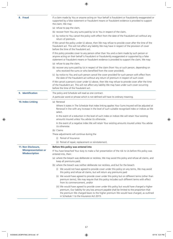| 8. Fraud                                                                    | If a claim made by You or anyone acting on Your behalf is fraudulent or fraudulently exaggerated or<br>supported by a false statement or fraudulent means or fraudulent evidence is provided to support<br>the claim, We may:                                                                                                    |
|-----------------------------------------------------------------------------|----------------------------------------------------------------------------------------------------------------------------------------------------------------------------------------------------------------------------------------------------------------------------------------------------------------------------------|
|                                                                             | (a) refuse to pay the claim,                                                                                                                                                                                                                                                                                                     |
|                                                                             | (b) recover from You any sums paid by Us to You in respect of the claim,                                                                                                                                                                                                                                                         |
|                                                                             | (c) by notice to You cancel the policy with effect from the date of the fraudulent act without any<br>return of premium.                                                                                                                                                                                                         |
|                                                                             | If We cancel the policy under (c) above, then We may refuse to provide cover after the time of the<br>fraudulent act. This will not affect any liability We may have in respect of the provision of cover<br>before the time of the fraudulent act.                                                                              |
|                                                                             | If this policy provides cover to any person other than You and a claim made by such person or<br>anyone acting on their behalf is fraudulent or fraudulently exaggerated or supported by a false<br>statement or fraudulent means or fraudulent evidence is provided to support the claim, We may:                               |
|                                                                             | (a) refuse to pay the claim,                                                                                                                                                                                                                                                                                                     |
|                                                                             | (b) recover any sums paid by Us in respect of the claim (from You or such person, depending on<br>who received the sums or who benefited from the cover provided),                                                                                                                                                               |
|                                                                             | (c) by notice to You and such person cancel the cover provided for such person with effect from<br>the date of the fraudulent act without any return of premium in respect of such cover.                                                                                                                                        |
|                                                                             | If We cancel a person's cover under (c) above, then We may refuse to provide cover after the time<br>of the fraudulent act. This will not affect any liability We may have under such cover occurring<br>before the time of the fraudulent act.                                                                                  |
| 9. Identification                                                           | The policy and Schedule will read as one contract.                                                                                                                                                                                                                                                                               |
|                                                                             | A particular word or phrase which is not defined will have its ordinary meaning.                                                                                                                                                                                                                                                 |
| <b>10. Index Linking</b>                                                    | (a) Renewal                                                                                                                                                                                                                                                                                                                      |
|                                                                             | Where it states in The Schedule that index linking applies Your Sums Insured will be adjusted at<br>Renewal in line with any increase in the level of such suitable recognised index or indices as We<br>select.                                                                                                                 |
|                                                                             | In the event of a reduction in the level of such index or indices We will retain Your existing<br>amounts insured unless You advise Us otherwise.                                                                                                                                                                                |
|                                                                             | In the event of a negative index We will retain Your existing amounts insured unless You advise<br>Us otherwise.                                                                                                                                                                                                                 |
|                                                                             | (b) Claims                                                                                                                                                                                                                                                                                                                       |
|                                                                             | These adjustments will continue during the                                                                                                                                                                                                                                                                                       |
|                                                                             | (i) Period of Insurance                                                                                                                                                                                                                                                                                                          |
|                                                                             | (ii) Period of repair, replacement or reinstatement.                                                                                                                                                                                                                                                                             |
| 11. Non Disclosure,<br><b>Misrepresentation or</b><br><b>Misdescription</b> | Before this policy was entered into                                                                                                                                                                                                                                                                                              |
|                                                                             | If You have breached Your duty to make a fair presentation of the risk to Us before this policy was<br>entered into, then:                                                                                                                                                                                                       |
|                                                                             | (a) where the breach was deliberate or reckless, We may avoid this policy and refuse all claims, and<br>keep all premiums paid;                                                                                                                                                                                                  |
|                                                                             | (b) where the breach was neither deliberate nor reckless, and but for the breach:                                                                                                                                                                                                                                                |
|                                                                             | (i) We would not have agreed to provide cover under this policy on any terms, We may avoid<br>this policy and refuse all claims, but will return any premiums paid                                                                                                                                                               |
|                                                                             | (ii) We would have agreed to provide cover under this policy but on different terms (other than<br>premium terms), We may require that this policy includes such different terms with effect<br>from its commencement, and/or                                                                                                    |
|                                                                             | (iii) We would have agreed to provide cover under this policy but would have charged a higher<br>premium, Our liability for any loss amount payable shall be limited to the proportion that<br>the premium We charged bears to the higher premium We would have charged, as outlined<br>in Schedule 1 to the Insurance Act 2015. |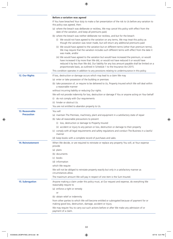|                                     | Before a variation was agreed                                                                                                                                                                                                                                                                                                                                   |
|-------------------------------------|-----------------------------------------------------------------------------------------------------------------------------------------------------------------------------------------------------------------------------------------------------------------------------------------------------------------------------------------------------------------|
|                                     | If You have breached Your duty to make a fair presentation of the risk to Us before any variation to<br>this policy was agreed, then:                                                                                                                                                                                                                           |
|                                     | (a) where the breach was deliberate or reckless, We may cancel this policy with effect from the<br>date of the variation, and keep all premiums paid;                                                                                                                                                                                                           |
|                                     | (b) where the breach was neither deliberate nor reckless, and but for the breach:                                                                                                                                                                                                                                                                               |
|                                     | (i) We would not have agreed to the variation on any terms, We may treat this policy as<br>though the variation was never made, but will return any additional premiums paid                                                                                                                                                                                    |
|                                     | (ii) We would have agreed to the variation but on different terms (other than premium terms),<br>We may require that the variation includes such different terms with effect from the date it<br>was made, and/or                                                                                                                                               |
|                                     | (iii) We would have agreed to the variation but would have increased the premium, or would<br>have increased it by more than We did, or would not have reduced it or would have<br>reduced it by less than We did, Our liability for any loss amount payable shall be limited on a<br>proportionate basis, as outlined in Schedule 1 to the Insurance Act 2015. |
|                                     | This condition operates in addition to any provisions relating to underinsurance in this policy.                                                                                                                                                                                                                                                                |
| 12. Our Rights                      | If loss, destruction or damage occurs which may lead to a claim We may                                                                                                                                                                                                                                                                                          |
|                                     | (a) enter or take possession of the building or premises                                                                                                                                                                                                                                                                                                        |
|                                     | (b) take possession of, or require to be delivered to Us, Property Insured which We will deal within<br>a reasonable manner                                                                                                                                                                                                                                     |
|                                     | without incurring liability or reducing Our rights.                                                                                                                                                                                                                                                                                                             |
|                                     | We will not provide indemnity for loss, destruction or damage if You or anyone acting on Your behalf                                                                                                                                                                                                                                                            |
|                                     | (i) do not comply with Our requirements                                                                                                                                                                                                                                                                                                                         |
|                                     | (ii) hinder or obstruct Us.                                                                                                                                                                                                                                                                                                                                     |
|                                     | You are not entitled to abandon property to Us.                                                                                                                                                                                                                                                                                                                 |
| 13. Reasonable<br><b>Precaution</b> | You will<br>(a) maintain The Premises, machinery, plant and equipment in a satisfactory state of repair<br>(b) take all reasonable precautions to prevent                                                                                                                                                                                                       |
|                                     | (i) loss, destruction or damage to Property Insured                                                                                                                                                                                                                                                                                                             |
|                                     | (ii) accident or injury to any person or loss, destruction or damage to their property                                                                                                                                                                                                                                                                          |
|                                     | (c) comply with all legal requirements and safety regulations and conduct The Business in a lawful<br>manner                                                                                                                                                                                                                                                    |
|                                     | (d) keep books with a complete record of purchases and sales.                                                                                                                                                                                                                                                                                                   |
| <b>14. Reinstatement</b>            | When We decide, or are required to reinstate or replace any property You will, at Your expense<br>provide                                                                                                                                                                                                                                                       |
|                                     | (a) plans                                                                                                                                                                                                                                                                                                                                                       |
|                                     | (b) documents                                                                                                                                                                                                                                                                                                                                                   |
|                                     | (c) books                                                                                                                                                                                                                                                                                                                                                       |
|                                     | (d) information                                                                                                                                                                                                                                                                                                                                                 |
|                                     | which We require                                                                                                                                                                                                                                                                                                                                                |
|                                     | We will not be obliged to reinstate property exactly but only in a satisfactory manner as<br>circumstances allow.                                                                                                                                                                                                                                               |
|                                     | The maximum amount We will pay in respect of one item is the Sum Insured.                                                                                                                                                                                                                                                                                       |
| <b>15. Subrogation</b>              | Anyone making a claim under this policy must, at Our request and expense, do everything We<br>reasonably require to                                                                                                                                                                                                                                             |
|                                     | (a) enforce a right or remedy                                                                                                                                                                                                                                                                                                                                   |
|                                     | or                                                                                                                                                                                                                                                                                                                                                              |
|                                     | (b) obtain relief or indemnity                                                                                                                                                                                                                                                                                                                                  |
|                                     | from other parties to which We will become entitled or subrogated because of payment for or<br>making good loss, destruction, damage, accident or injury.                                                                                                                                                                                                       |
|                                     | We may require You to carry out such actions before or after We make any admission of or<br>payment of a claim.                                                                                                                                                                                                                                                 |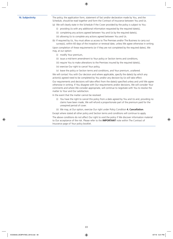**16. Subjectivity** The policy, the application form, statement of fact and/or declaration made by You, and the Schedule, should be read together and form the Contract of Insurance between You and Us.

- (a) We will clearly state in the Schedule if the Cover provided by the policy is subject to You:
	- (i) providing Us with any additional information requested by the required date(s),
	- (ii) completing any actions agreed between You and Us by the required date(s),
	- (iii) allowing Us to complete any actions agreed between You and Us.

(b) If required by Us, You must allow us access to The Premises and/or The Business to carry out survey(s), within 60 days of the inception or renewal date, unless We agree otherwise in writing. Upon completion of these requirements (or if they are not completed by the required dates), We may, at our option:

- (i) modify Your premium,
- (ii) issue a mid-term amendment to Your policy or Section terms and conditions,
- (iii) require You to make alterations to the Premises insured by the required date(s),
- (iv) exercise Our right to cancel Your policy,
- (v) leave the policy or Section terms and conditions, and Your premium, unaltered.

We will contact You with Our decision and where applicable, specify the date(s) by which any action(s) agreed need to be completed by You and/or any decision by Us will take effect.

Our requirements and decisions will take effect from the date(s) specified unless and until We agree otherwise in writing. If You disagree with Our requirements and/or decisions, We will consider Your comments and where We consider appropriate, will continue to negotiate with You to resolve the matter to Your and Our satisfaction.

In the event that the matter cannot be resolved:

- (i) You have the right to cancel this policy from a date agreed by You and Us and, providing no claims have been made, We will refund a proportionate part of the premium paid for the unexpired period of cover.
- (ii) We may, at Our option, exercise Our right under Policy Condition **4. Cancellation**.

Except where stated all other policy and Section terms and conditions will continue to apply.

The above conditions do not affect Our right to void the policy if We discover information material to Our acceptance of the risk. Please refer to the **IMPORTANT** note within The Contract of Insurance page of Your policy booklet.